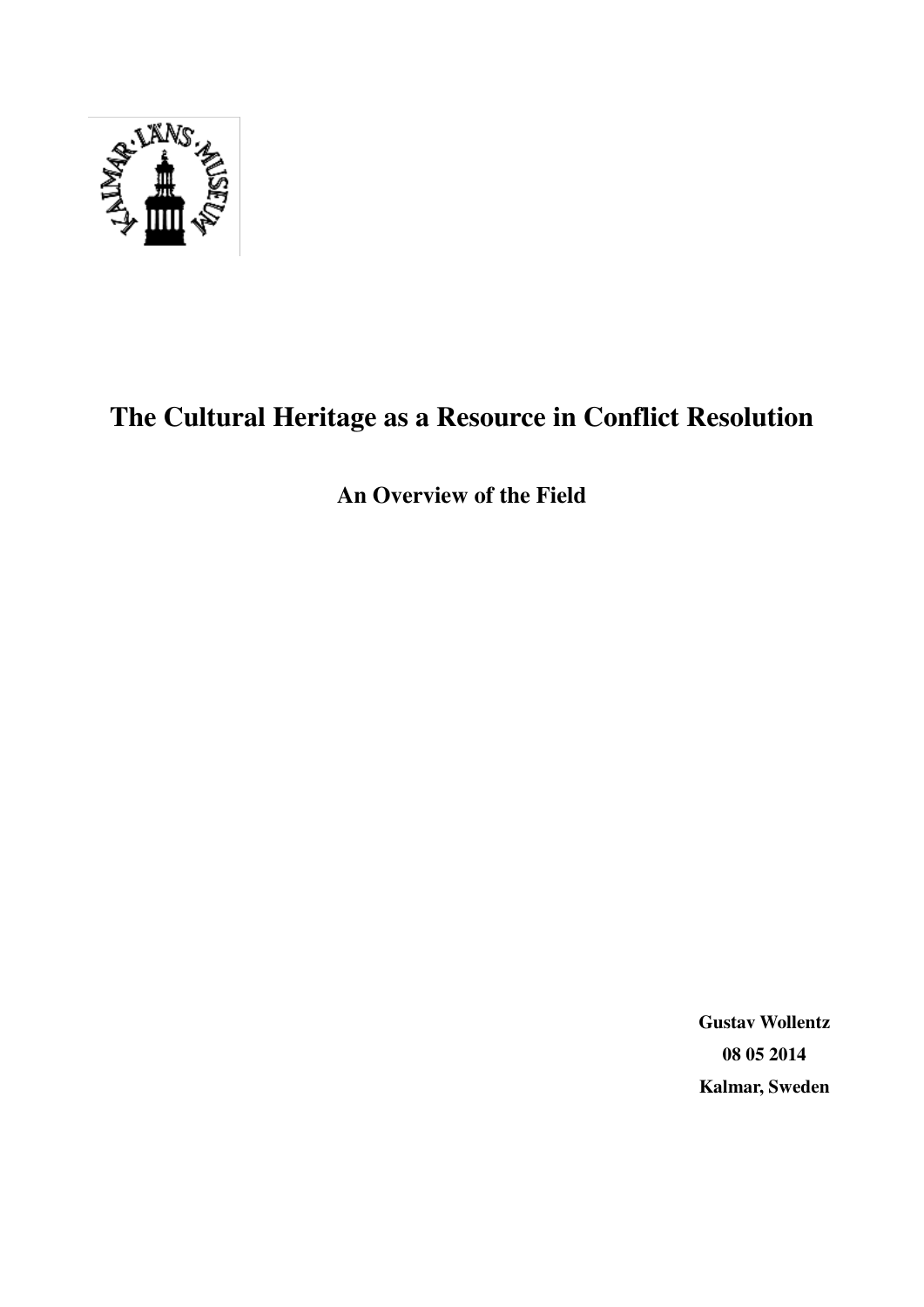

# **The Cultural Heritage as a Resource in Conflict Resolution**

**An Overview of the Field** 

**Gustav Wollentz 08 05 2014 Kalmar, Sweden**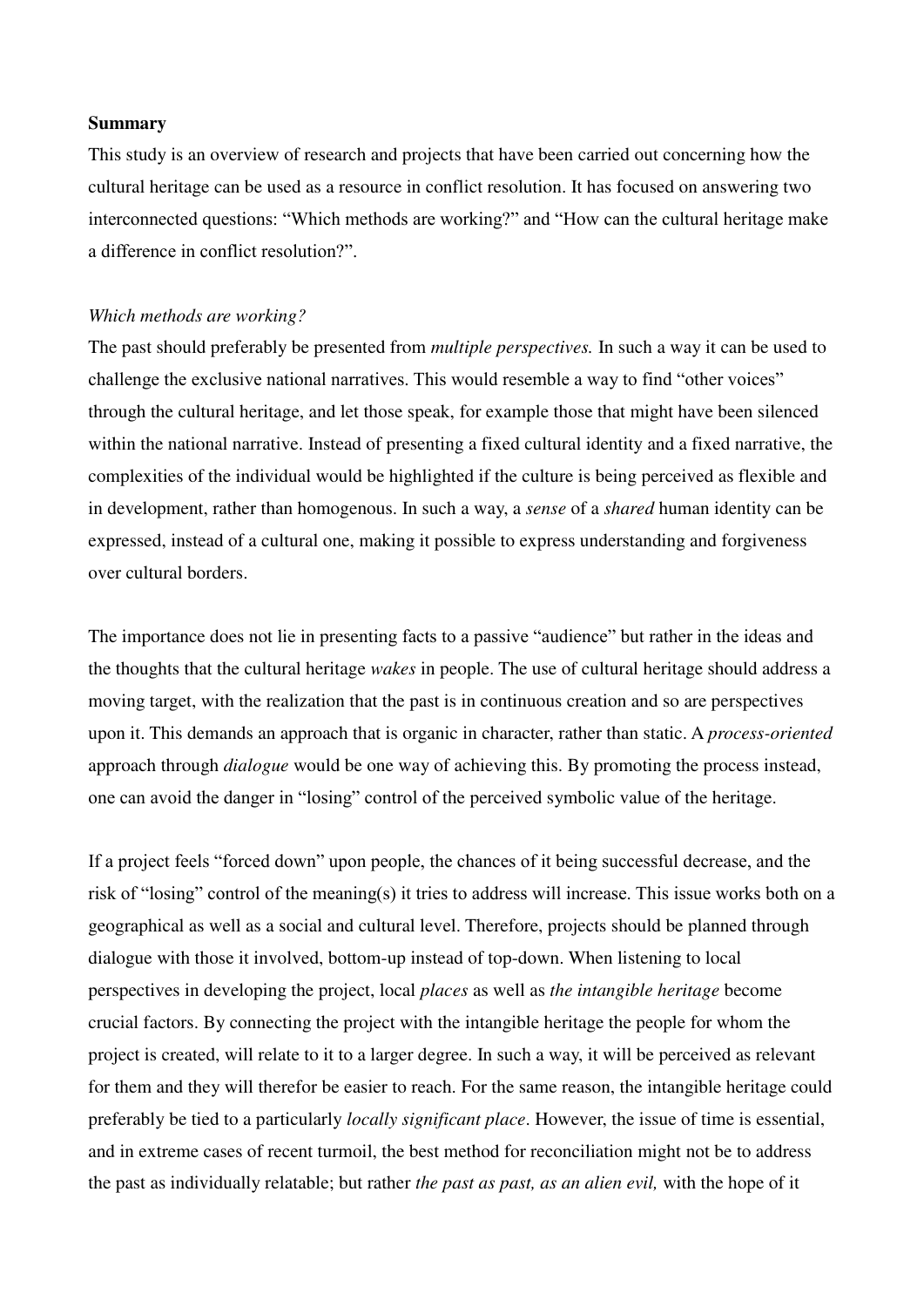#### **Summary**

This study is an overview of research and projects that have been carried out concerning how the cultural heritage can be used as a resource in conflict resolution. It has focused on answering two interconnected questions: "Which methods are working?" and "How can the cultural heritage make a difference in conflict resolution?".

#### *Which methods are working?*

The past should preferably be presented from *multiple perspectives.* In such a way it can be used to challenge the exclusive national narratives. This would resemble a way to find "other voices" through the cultural heritage, and let those speak, for example those that might have been silenced within the national narrative. Instead of presenting a fixed cultural identity and a fixed narrative, the complexities of the individual would be highlighted if the culture is being perceived as flexible and in development, rather than homogenous. In such a way, a *sense* of a *shared* human identity can be expressed, instead of a cultural one, making it possible to express understanding and forgiveness over cultural borders.

The importance does not lie in presenting facts to a passive "audience" but rather in the ideas and the thoughts that the cultural heritage *wakes* in people. The use of cultural heritage should address a moving target, with the realization that the past is in continuous creation and so are perspectives upon it. This demands an approach that is organic in character, rather than static. A *process-oriented*  approach through *dialogue* would be one way of achieving this. By promoting the process instead, one can avoid the danger in "losing" control of the perceived symbolic value of the heritage.

If a project feels "forced down" upon people, the chances of it being successful decrease, and the risk of "losing" control of the meaning(s) it tries to address will increase. This issue works both on a geographical as well as a social and cultural level. Therefore, projects should be planned through dialogue with those it involved, bottom-up instead of top-down. When listening to local perspectives in developing the project, local *places* as well as *the intangible heritage* become crucial factors. By connecting the project with the intangible heritage the people for whom the project is created, will relate to it to a larger degree. In such a way, it will be perceived as relevant for them and they will therefor be easier to reach. For the same reason, the intangible heritage could preferably be tied to a particularly *locally significant place*. However, the issue of time is essential, and in extreme cases of recent turmoil, the best method for reconciliation might not be to address the past as individually relatable; but rather *the past as past, as an alien evil,* with the hope of it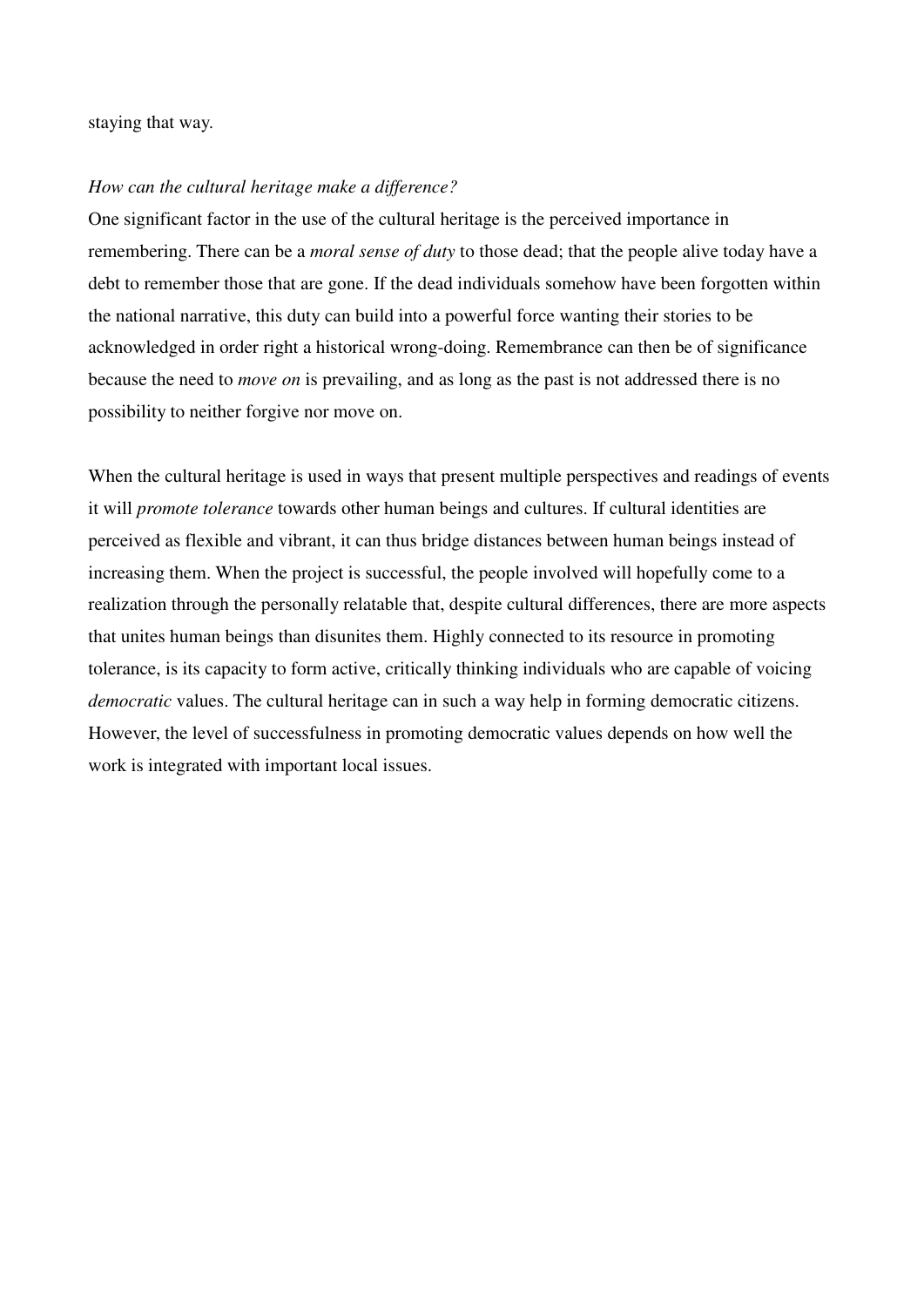#### staying that way.

#### *How can the cultural heritage make a difference?*

One significant factor in the use of the cultural heritage is the perceived importance in remembering. There can be a *moral sense of duty* to those dead; that the people alive today have a debt to remember those that are gone. If the dead individuals somehow have been forgotten within the national narrative, this duty can build into a powerful force wanting their stories to be acknowledged in order right a historical wrong-doing. Remembrance can then be of significance because the need to *move on* is prevailing, and as long as the past is not addressed there is no possibility to neither forgive nor move on.

When the cultural heritage is used in ways that present multiple perspectives and readings of events it will *promote tolerance* towards other human beings and cultures. If cultural identities are perceived as flexible and vibrant, it can thus bridge distances between human beings instead of increasing them. When the project is successful, the people involved will hopefully come to a realization through the personally relatable that, despite cultural differences, there are more aspects that unites human beings than disunites them. Highly connected to its resource in promoting tolerance, is its capacity to form active, critically thinking individuals who are capable of voicing *democratic* values. The cultural heritage can in such a way help in forming democratic citizens. However, the level of successfulness in promoting democratic values depends on how well the work is integrated with important local issues.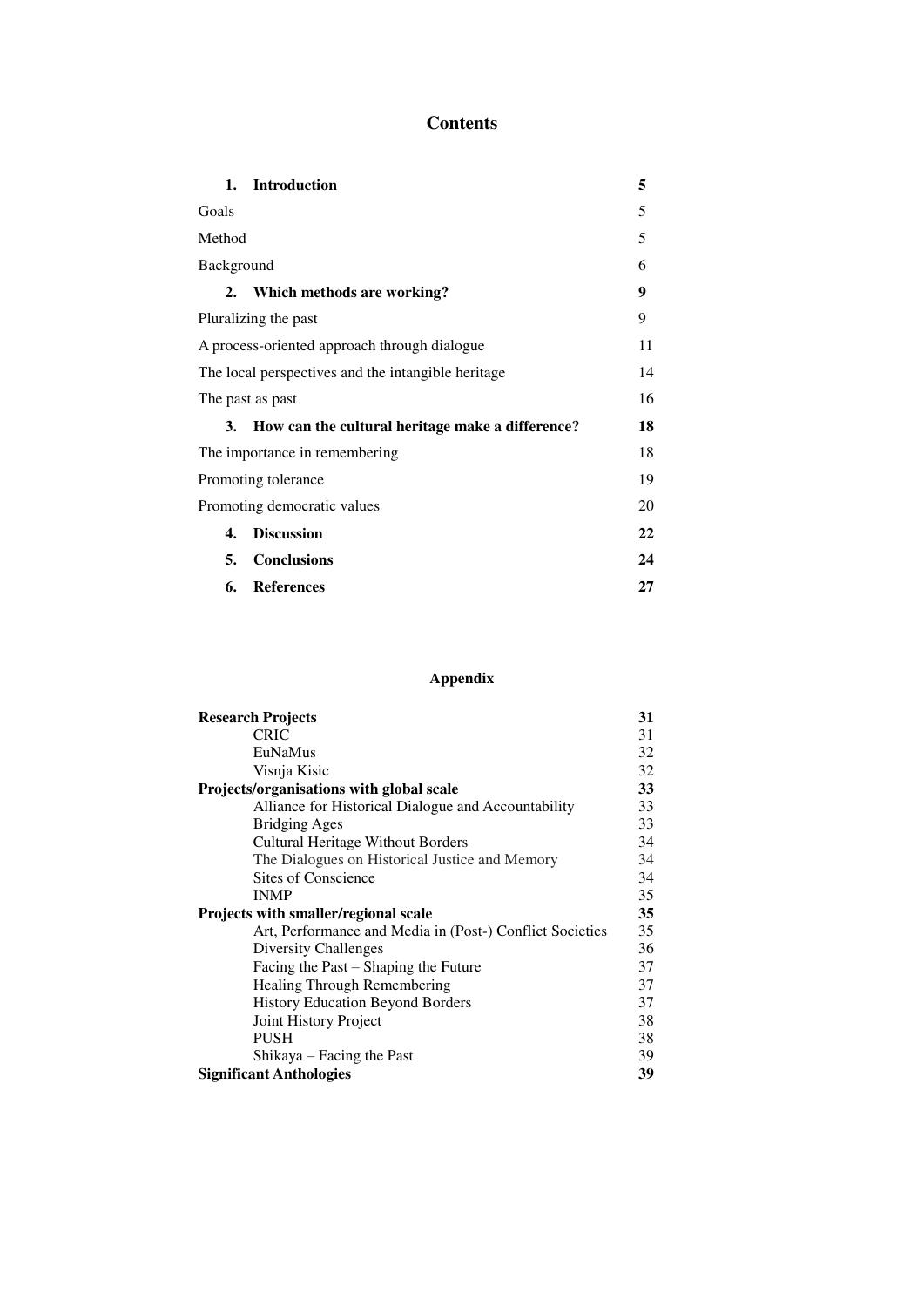## **Contents**

| 1.                                                 | <b>Introduction</b>                              | 5  |
|----------------------------------------------------|--------------------------------------------------|----|
| Goals                                              |                                                  | 5  |
| Method                                             |                                                  | 5  |
| Background                                         |                                                  | 6  |
| 2.                                                 | Which methods are working?                       | 9  |
| Pluralizing the past                               |                                                  | 9  |
|                                                    | A process-oriented approach through dialogue     | 11 |
| The local perspectives and the intangible heritage |                                                  | 14 |
| The past as past                                   |                                                  | 16 |
| 3.                                                 | How can the cultural heritage make a difference? | 18 |
| The importance in remembering                      |                                                  | 18 |
| Promoting tolerance                                |                                                  | 19 |
| Promoting democratic values                        |                                                  | 20 |
| $\mathbf{4}$                                       | <b>Discussion</b>                                | 22 |
| 5.                                                 | <b>Conclusions</b>                               | 24 |
| 6.                                                 | References                                       | 27 |

## **Appendix**

| <b>Research Projects</b>                                 |    |
|----------------------------------------------------------|----|
| <b>CRIC</b>                                              | 31 |
| EuNaMus                                                  | 32 |
| Visnja Kisic                                             | 32 |
| Projects/organisations with global scale                 |    |
| Alliance for Historical Dialogue and Accountability      | 33 |
| <b>Bridging Ages</b>                                     | 33 |
| <b>Cultural Heritage Without Borders</b>                 | 34 |
| The Dialogues on Historical Justice and Memory           | 34 |
| <b>Sites of Conscience</b>                               | 34 |
| <b>INMP</b>                                              | 35 |
| Projects with smaller/regional scale                     |    |
| Art, Performance and Media in (Post-) Conflict Societies | 35 |
| <b>Diversity Challenges</b>                              | 36 |
| Facing the Past – Shaping the Future                     | 37 |
| Healing Through Remembering                              | 37 |
| <b>History Education Beyond Borders</b>                  | 37 |
| Joint History Project                                    | 38 |
| <b>PUSH</b>                                              | 38 |
| Shikaya – Facing the Past                                | 39 |
| <b>Significant Anthologies</b>                           |    |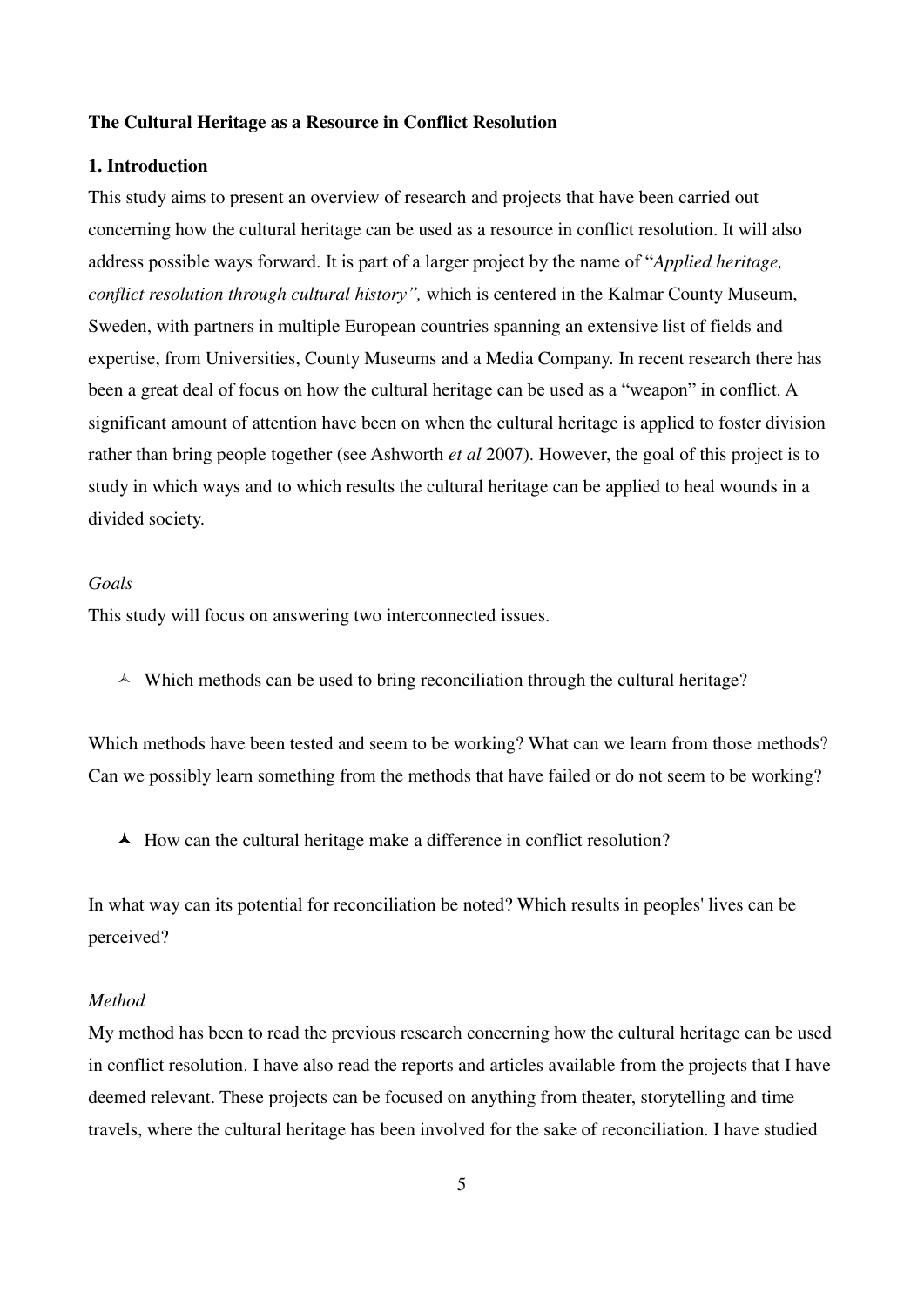#### **The Cultural Heritage as a Resource in Conflict Resolution**

## **1. Introduction**

This study aims to present an overview of research and projects that have been carried out concerning how the cultural heritage can be used as a resource in conflict resolution. It will also address possible ways forward. It is part of a larger project by the name of "*Applied heritage, conflict resolution through cultural history"*, which is centered in the Kalmar County Museum, Sweden, with partners in multiple European countries spanning an extensive list of fields and expertise, from Universities, County Museums and a Media Company. In recent research there has been a great deal of focus on how the cultural heritage can be used as a "weapon" in conflict. A significant amount of attention have been on when the cultural heritage is applied to foster division rather than bring people together (see Ashworth *et al* 2007). However, the goal of this project is to study in which ways and to which results the cultural heritage can be applied to heal wounds in a divided society.

#### *Goals*

This study will focus on answering two interconnected issues.

 $\triangle$  Which methods can be used to bring reconciliation through the cultural heritage?

 Which methods have been tested and seem to be working? What can we learn from those methods? Can we possibly learn something from the methods that have failed or do not seem to be working?

 $\blacktriangle$  How can the cultural heritage make a difference in conflict resolution?

 In what way can its potential for reconciliation be noted? Which results in peoples' lives can be perceived?

#### *Method*

My method has been to read the previous research concerning how the cultural heritage can be used in conflict resolution. I have also read the reports and articles available from the projects that I have deemed relevant. These projects can be focused on anything from theater, storytelling and time travels, where the cultural heritage has been involved for the sake of reconciliation. I have studied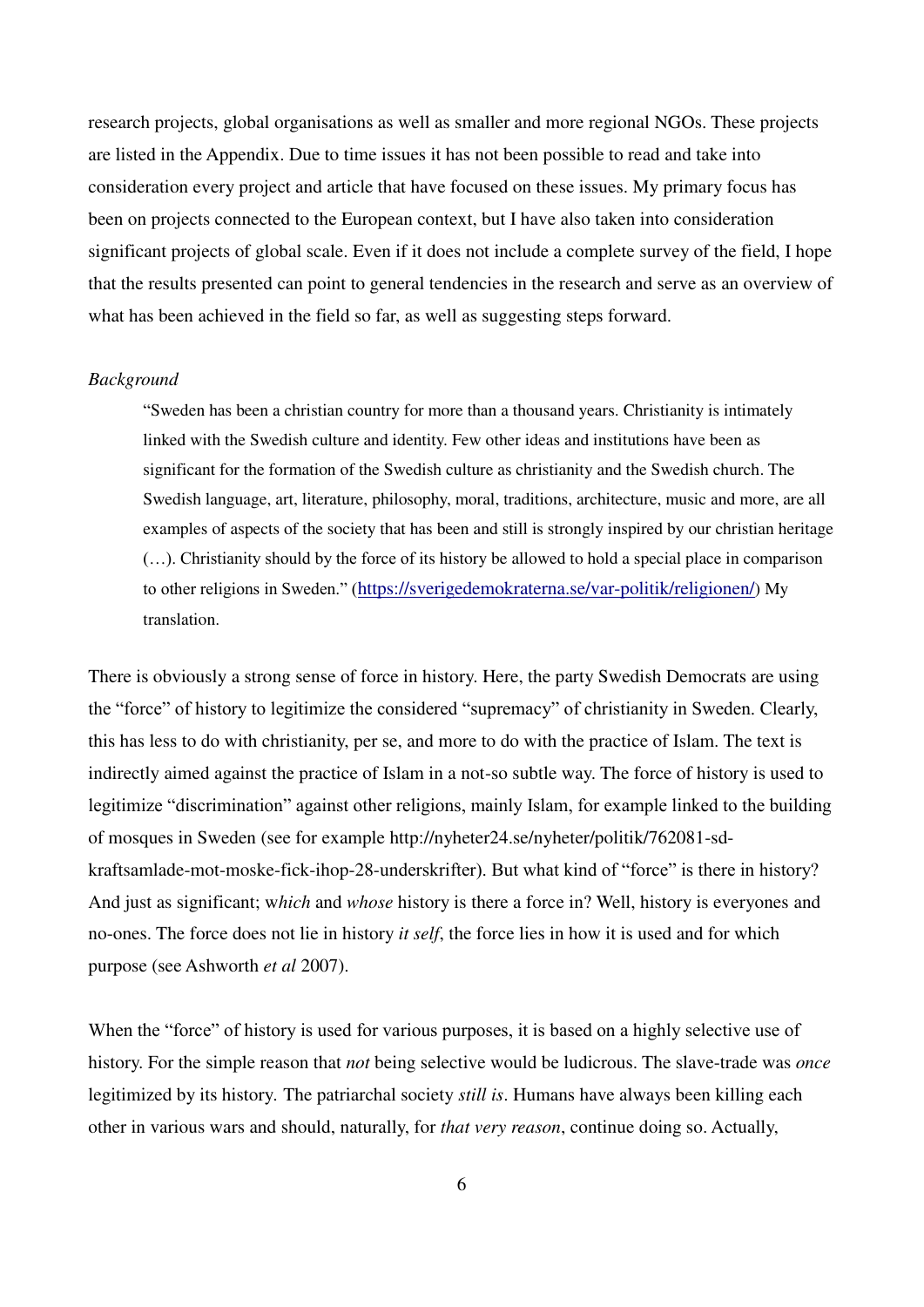research projects, global organisations as well as smaller and more regional NGOs. These projects are listed in the Appendix. Due to time issues it has not been possible to read and take into consideration every project and article that have focused on these issues. My primary focus has been on projects connected to the European context, but I have also taken into consideration significant projects of global scale. Even if it does not include a complete survey of the field, I hope that the results presented can point to general tendencies in the research and serve as an overview of what has been achieved in the field so far, as well as suggesting steps forward.

#### *Background*

"Sweden has been a christian country for more than a thousand years. Christianity is intimately linked with the Swedish culture and identity. Few other ideas and institutions have been as significant for the formation of the Swedish culture as christianity and the Swedish church. The Swedish language, art, literature, philosophy, moral, traditions, architecture, music and more, are all examples of aspects of the society that has been and still is strongly inspired by our christian heritage (…). Christianity should by the force of its history be allowed to hold a special place in comparison to other religions in Sweden." (<https://sverigedemokraterna.se/var-politik/religionen/>) My translation.

There is obviously a strong sense of force in history. Here, the party Swedish Democrats are using the "force" of history to legitimize the considered "supremacy" of christianity in Sweden. Clearly, this has less to do with christianity, per se, and more to do with the practice of Islam. The text is indirectly aimed against the practice of Islam in a not-so subtle way. The force of history is used to legitimize "discrimination" against other religions, mainly Islam, for example linked to the building of mosques in Sweden (see for example http://nyheter24.se/nyheter/politik/762081-sdkraftsamlade-mot-moske-fick-ihop-28-underskrifter). But what kind of "force" is there in history? And just as significant; w*hich* and *whose* history is there a force in? Well, history is everyones and no-ones. The force does not lie in history *it self*, the force lies in how it is used and for which purpose (see Ashworth *et al* 2007).

When the "force" of history is used for various purposes, it is based on a highly selective use of history. For the simple reason that *not* being selective would be ludicrous. The slave-trade was *once*  legitimized by its history*.* The patriarchal society *still is*. Humans have always been killing each other in various wars and should, naturally, for *that very reason*, continue doing so. Actually,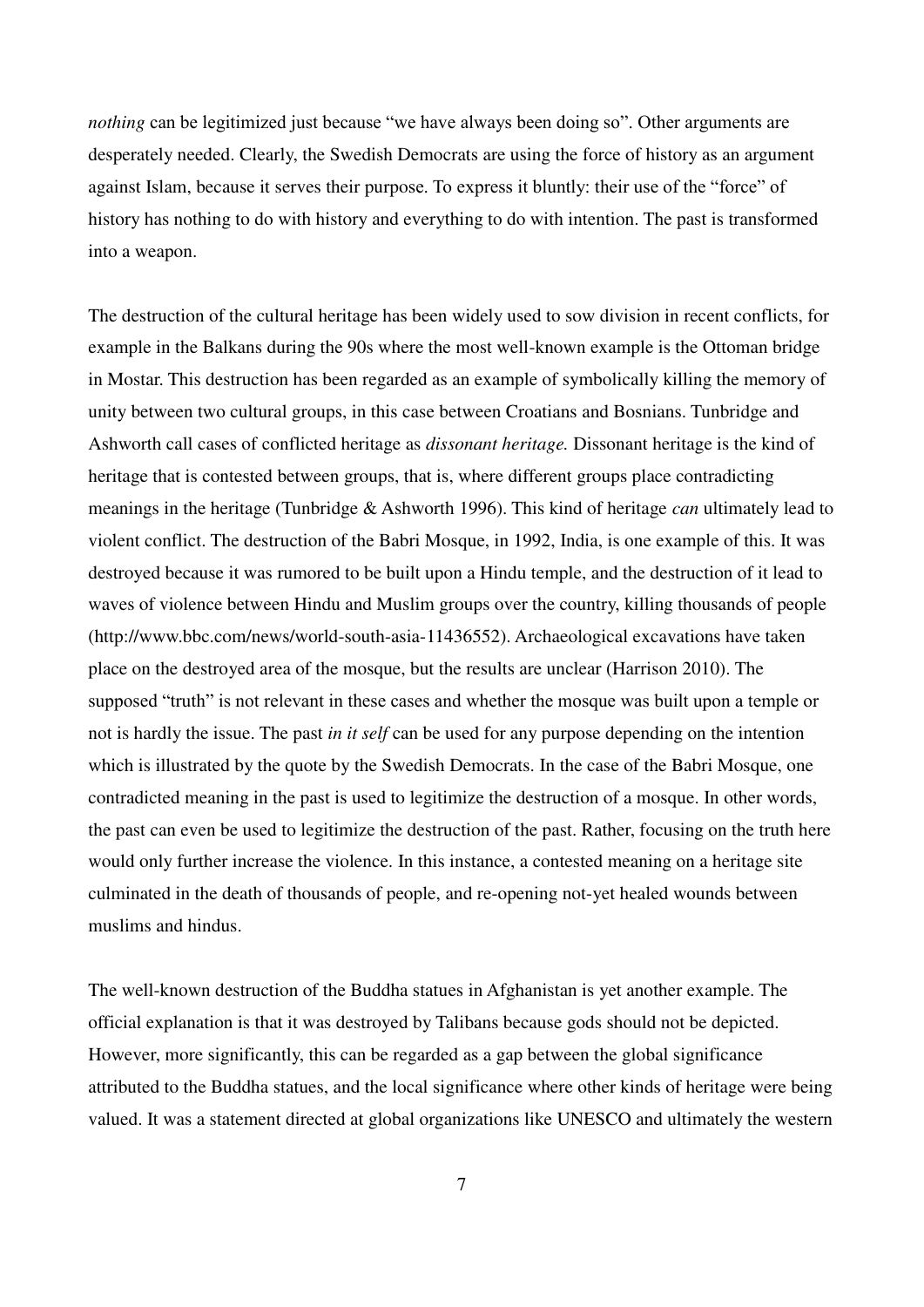*nothing* can be legitimized just because "we have always been doing so". Other arguments are desperately needed. Clearly, the Swedish Democrats are using the force of history as an argument against Islam, because it serves their purpose. To express it bluntly: their use of the "force" of history has nothing to do with history and everything to do with intention. The past is transformed into a weapon.

The destruction of the cultural heritage has been widely used to sow division in recent conflicts, for example in the Balkans during the 90s where the most well-known example is the Ottoman bridge in Mostar. This destruction has been regarded as an example of symbolically killing the memory of unity between two cultural groups, in this case between Croatians and Bosnians. Tunbridge and Ashworth call cases of conflicted heritage as *dissonant heritage.* Dissonant heritage is the kind of heritage that is contested between groups, that is, where different groups place contradicting meanings in the heritage (Tunbridge & Ashworth 1996). This kind of heritage *can* ultimately lead to violent conflict. The destruction of the Babri Mosque, in 1992, India, is one example of this. It was destroyed because it was rumored to be built upon a Hindu temple, and the destruction of it lead to waves of violence between Hindu and Muslim groups over the country, killing thousands of people (http://www.bbc.com/news/world-south-asia-11436552). Archaeological excavations have taken place on the destroyed area of the mosque, but the results are unclear (Harrison 2010). The supposed "truth" is not relevant in these cases and whether the mosque was built upon a temple or not is hardly the issue. The past *in it self* can be used for any purpose depending on the intention which is illustrated by the quote by the Swedish Democrats. In the case of the Babri Mosque, one contradicted meaning in the past is used to legitimize the destruction of a mosque. In other words, the past can even be used to legitimize the destruction of the past. Rather, focusing on the truth here would only further increase the violence. In this instance, a contested meaning on a heritage site culminated in the death of thousands of people, and re-opening not-yet healed wounds between muslims and hindus.

The well-known destruction of the Buddha statues in Afghanistan is yet another example. The official explanation is that it was destroyed by Talibans because gods should not be depicted. However, more significantly, this can be regarded as a gap between the global significance attributed to the Buddha statues, and the local significance where other kinds of heritage were being valued. It was a statement directed at global organizations like UNESCO and ultimately the western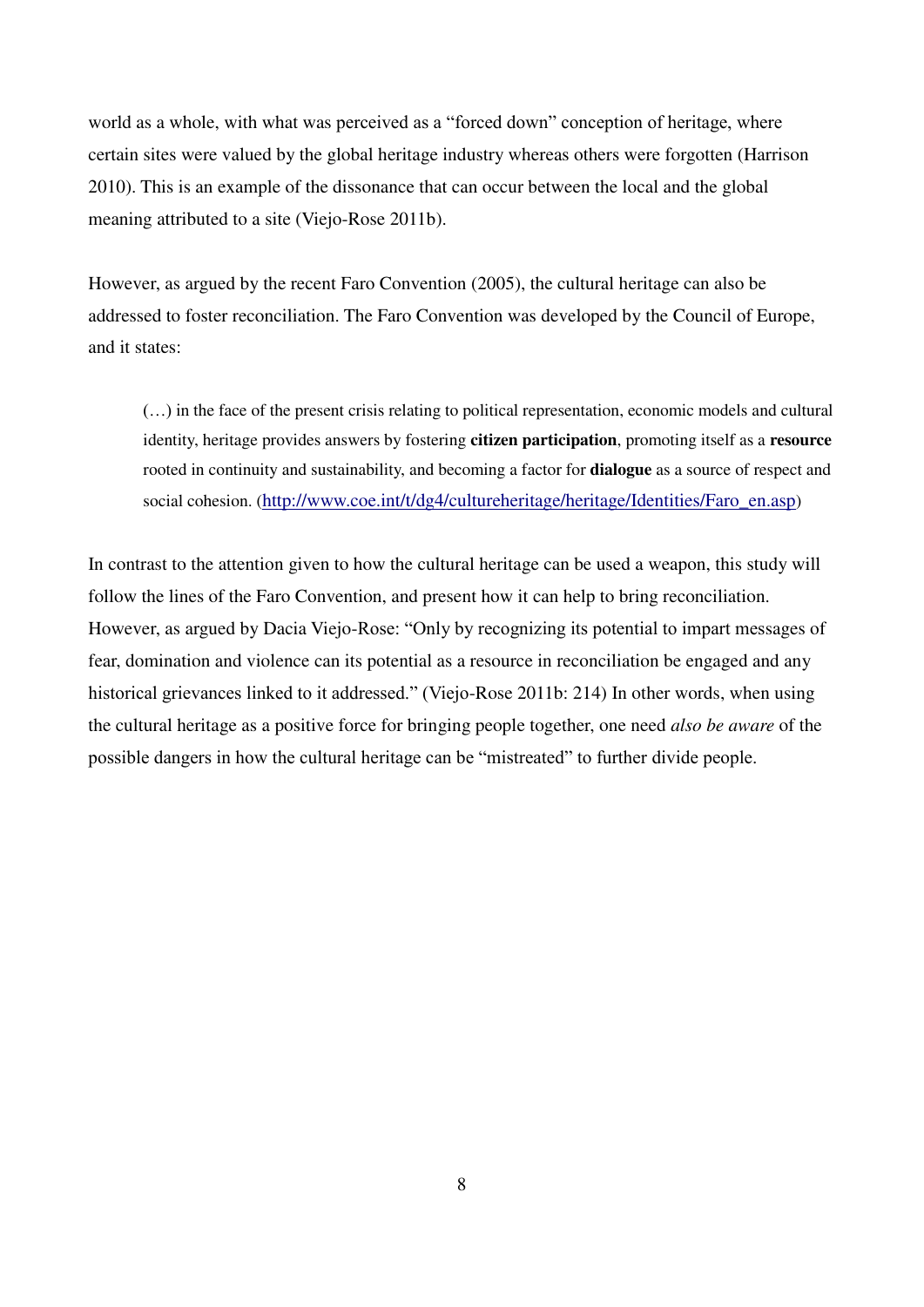world as a whole, with what was perceived as a "forced down" conception of heritage, where certain sites were valued by the global heritage industry whereas others were forgotten (Harrison 2010). This is an example of the dissonance that can occur between the local and the global meaning attributed to a site (Viejo-Rose 2011b).

However, as argued by the recent Faro Convention (2005), the cultural heritage can also be addressed to foster reconciliation. The Faro Convention was developed by the Council of Europe, and it states:

(…) in the face of the present crisis relating to political representation, economic models and cultural identity, heritage provides answers by fostering **citizen participation**, promoting itself as a **resource** rooted in continuity and sustainability, and becoming a factor for **dialogue** as a source of respect and social cohesion. ([http://www.coe.int/t/dg4/cultureheritage/heritage/Identities/Faro\\_en.asp](http://www.coe.int/t/dg4/cultureheritage/heritage/Identities/Faro_en.asp))

In contrast to the attention given to how the cultural heritage can be used a weapon, this study will follow the lines of the Faro Convention, and present how it can help to bring reconciliation. However, as argued by Dacia Viejo-Rose: "Only by recognizing its potential to impart messages of fear, domination and violence can its potential as a resource in reconciliation be engaged and any historical grievances linked to it addressed." (Viejo-Rose 2011b: 214) In other words, when using the cultural heritage as a positive force for bringing people together, one need *also be aware* of the possible dangers in how the cultural heritage can be "mistreated" to further divide people.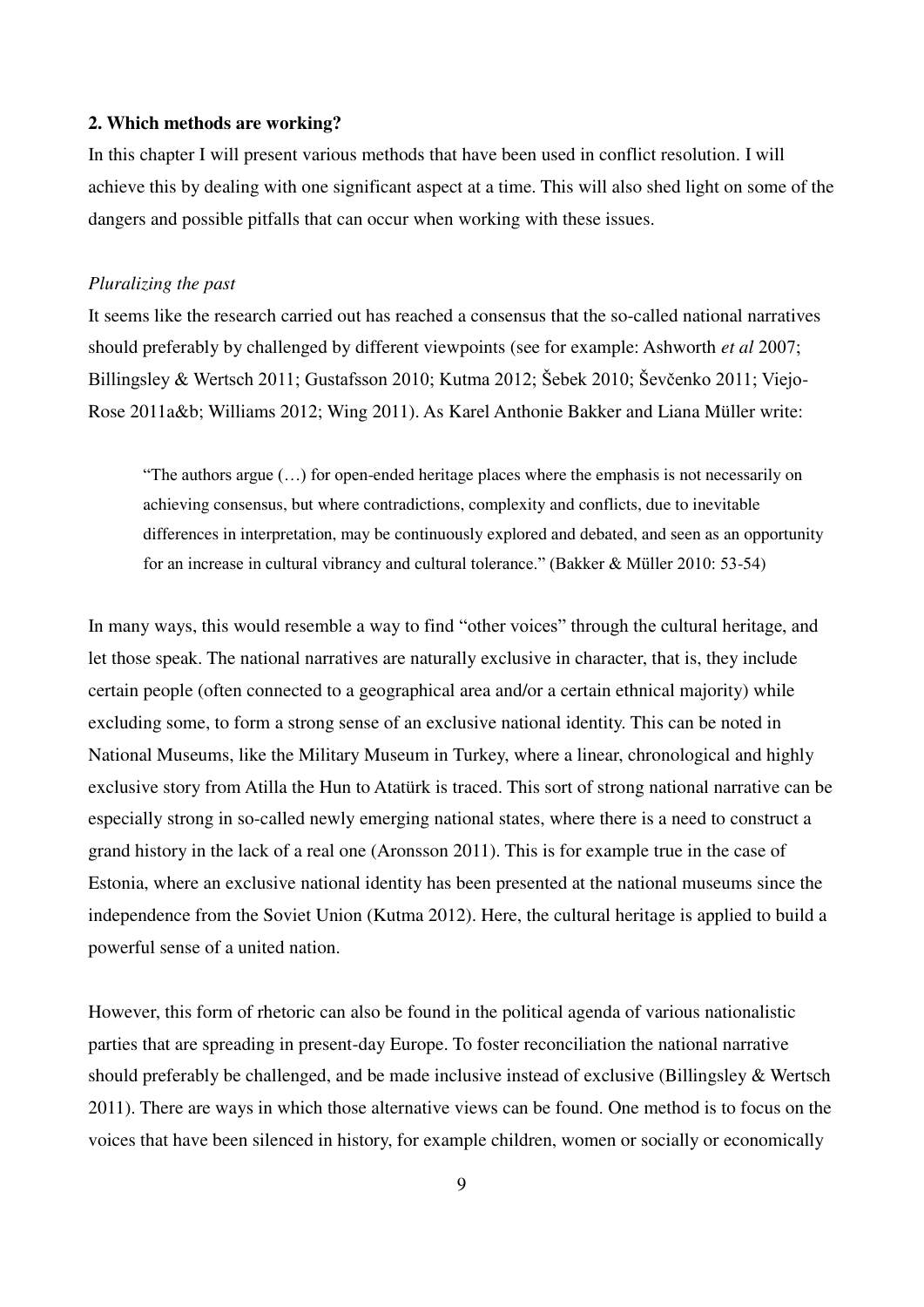#### **2. Which methods are working?**

In this chapter I will present various methods that have been used in conflict resolution. I will achieve this by dealing with one significant aspect at a time. This will also shed light on some of the dangers and possible pitfalls that can occur when working with these issues.

#### *Pluralizing the past*

It seems like the research carried out has reached a consensus that the so-called national narratives should preferably by challenged by different viewpoints (see for example: Ashworth *et al* 2007; Billingsley & Wertsch 2011; Gustafsson 2010; Kutma 2012; Šebek 2010; Ševčenko 2011: Viejo-Rose 2011a&b; Williams 2012; Wing 2011). As Karel Anthonie Bakker and Liana Müller write:

"The authors argue (…) for open-ended heritage places where the emphasis is not necessarily on achieving consensus, but where contradictions, complexity and conflicts, due to inevitable differences in interpretation, may be continuously explored and debated, and seen as an opportunity for an increase in cultural vibrancy and cultural tolerance." (Bakker & Müller 2010: 53-54)

In many ways, this would resemble a way to find "other voices" through the cultural heritage, and let those speak. The national narratives are naturally exclusive in character, that is, they include certain people (often connected to a geographical area and/or a certain ethnical majority) while excluding some, to form a strong sense of an exclusive national identity. This can be noted in National Museums, like the Military Museum in Turkey, where a linear, chronological and highly exclusive story from Atilla the Hun to Atatürk is traced. This sort of strong national narrative can be especially strong in so-called newly emerging national states, where there is a need to construct a grand history in the lack of a real one (Aronsson 2011). This is for example true in the case of Estonia, where an exclusive national identity has been presented at the national museums since the independence from the Soviet Union (Kutma 2012). Here, the cultural heritage is applied to build a powerful sense of a united nation.

However, this form of rhetoric can also be found in the political agenda of various nationalistic parties that are spreading in present-day Europe. To foster reconciliation the national narrative should preferably be challenged, and be made inclusive instead of exclusive (Billingsley & Wertsch 2011). There are ways in which those alternative views can be found. One method is to focus on the voices that have been silenced in history, for example children, women or socially or economically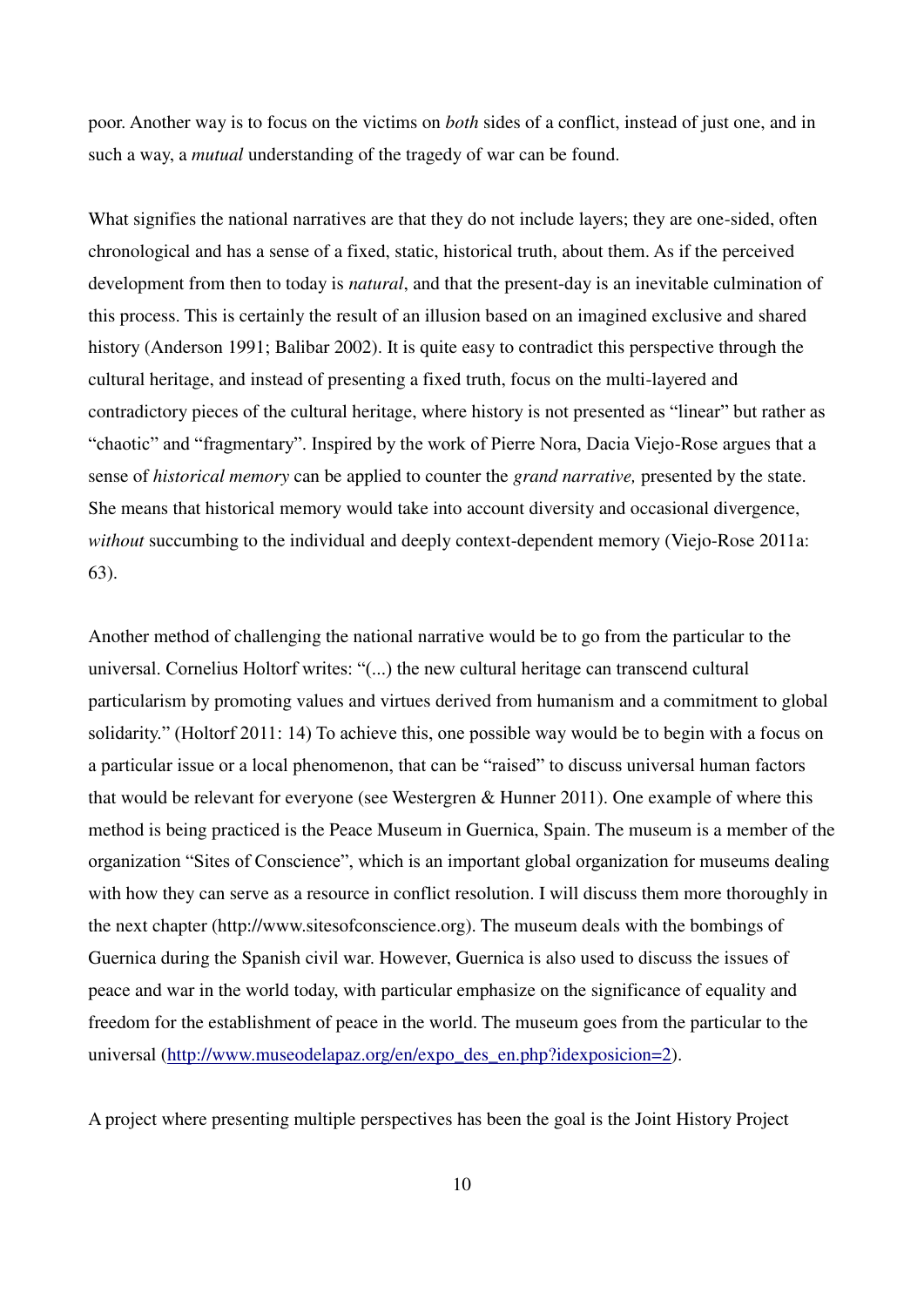poor. Another way is to focus on the victims on *both* sides of a conflict, instead of just one, and in such a way, a *mutual* understanding of the tragedy of war can be found.

What signifies the national narratives are that they do not include layers; they are one-sided, often chronological and has a sense of a fixed, static, historical truth, about them. As if the perceived development from then to today is *natural*, and that the present-day is an inevitable culmination of this process. This is certainly the result of an illusion based on an imagined exclusive and shared history (Anderson 1991; Balibar 2002). It is quite easy to contradict this perspective through the cultural heritage, and instead of presenting a fixed truth, focus on the multi-layered and contradictory pieces of the cultural heritage, where history is not presented as "linear" but rather as "chaotic" and "fragmentary". Inspired by the work of Pierre Nora, Dacia Viejo-Rose argues that a sense of *historical memory* can be applied to counter the *grand narrative,* presented by the state. She means that historical memory would take into account diversity and occasional divergence, *without* succumbing to the individual and deeply context-dependent memory (Viejo-Rose 2011a: 63).

Another method of challenging the national narrative would be to go from the particular to the universal. Cornelius Holtorf writes: "(...) the new cultural heritage can transcend cultural particularism by promoting values and virtues derived from humanism and a commitment to global solidarity." (Holtorf 2011: 14) To achieve this, one possible way would be to begin with a focus on a particular issue or a local phenomenon, that can be "raised" to discuss universal human factors that would be relevant for everyone (see Westergren & Hunner 2011). One example of where this method is being practiced is the Peace Museum in Guernica, Spain. The museum is a member of the organization "Sites of Conscience", which is an important global organization for museums dealing with how they can serve as a resource in conflict resolution. I will discuss them more thoroughly in the next chapter (http://www.sitesofconscience.org). The museum deals with the bombings of Guernica during the Spanish civil war. However, Guernica is also used to discuss the issues of peace and war in the world today, with particular emphasize on the significance of equality and freedom for the establishment of peace in the world. The museum goes from the particular to the universal [\(http://www.museodelapaz.org/en/expo\\_des\\_en.php?idexposicion=2\)](http://www.museodelapaz.org/en/expo_des_en.php?idexposicion=2).

A project where presenting multiple perspectives has been the goal is the Joint History Project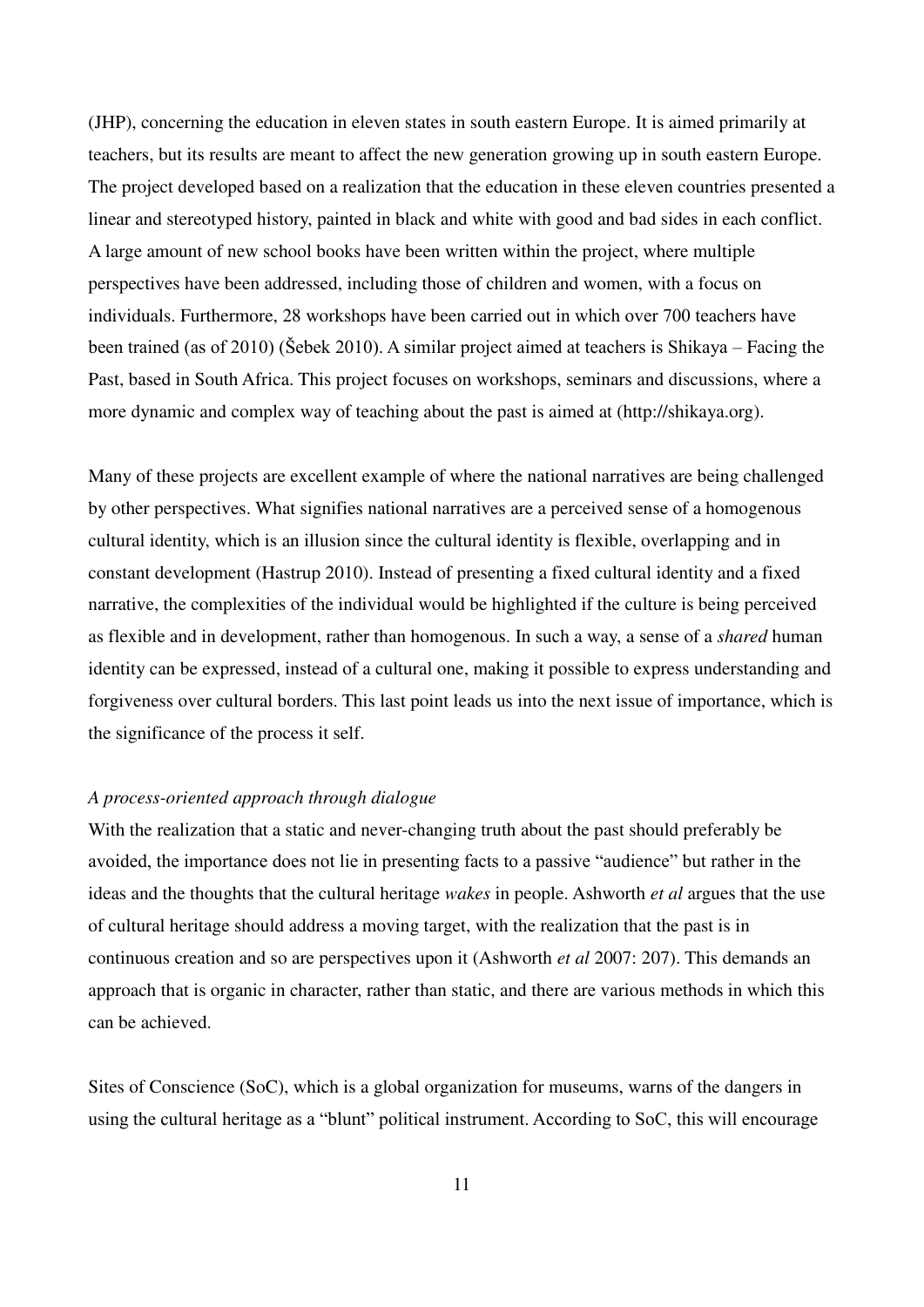(JHP), concerning the education in eleven states in south eastern Europe. It is aimed primarily at teachers, but its results are meant to affect the new generation growing up in south eastern Europe. The project developed based on a realization that the education in these eleven countries presented a linear and stereotyped history, painted in black and white with good and bad sides in each conflict. A large amount of new school books have been written within the project, where multiple perspectives have been addressed, including those of children and women, with a focus on individuals. Furthermore, 28 workshops have been carried out in which over 700 teachers have been trained (as of 2010) (Šebek 2010). A similar project aimed at teachers is Shikaya – Facing the Past, based in South Africa. This project focuses on workshops, seminars and discussions, where a more dynamic and complex way of teaching about the past is aimed at (http://shikaya.org).

Many of these projects are excellent example of where the national narratives are being challenged by other perspectives. What signifies national narratives are a perceived sense of a homogenous cultural identity, which is an illusion since the cultural identity is flexible, overlapping and in constant development (Hastrup 2010). Instead of presenting a fixed cultural identity and a fixed narrative, the complexities of the individual would be highlighted if the culture is being perceived as flexible and in development, rather than homogenous. In such a way, a sense of a *shared* human identity can be expressed, instead of a cultural one, making it possible to express understanding and forgiveness over cultural borders. This last point leads us into the next issue of importance, which is the significance of the process it self.

#### *A process-oriented approach through dialogue*

With the realization that a static and never-changing truth about the past should preferably be avoided, the importance does not lie in presenting facts to a passive "audience" but rather in the ideas and the thoughts that the cultural heritage *wakes* in people. Ashworth *et al* argues that the use of cultural heritage should address a moving target, with the realization that the past is in continuous creation and so are perspectives upon it (Ashworth *et al* 2007: 207). This demands an approach that is organic in character, rather than static, and there are various methods in which this can be achieved.

Sites of Conscience (SoC), which is a global organization for museums, warns of the dangers in using the cultural heritage as a "blunt" political instrument. According to SoC, this will encourage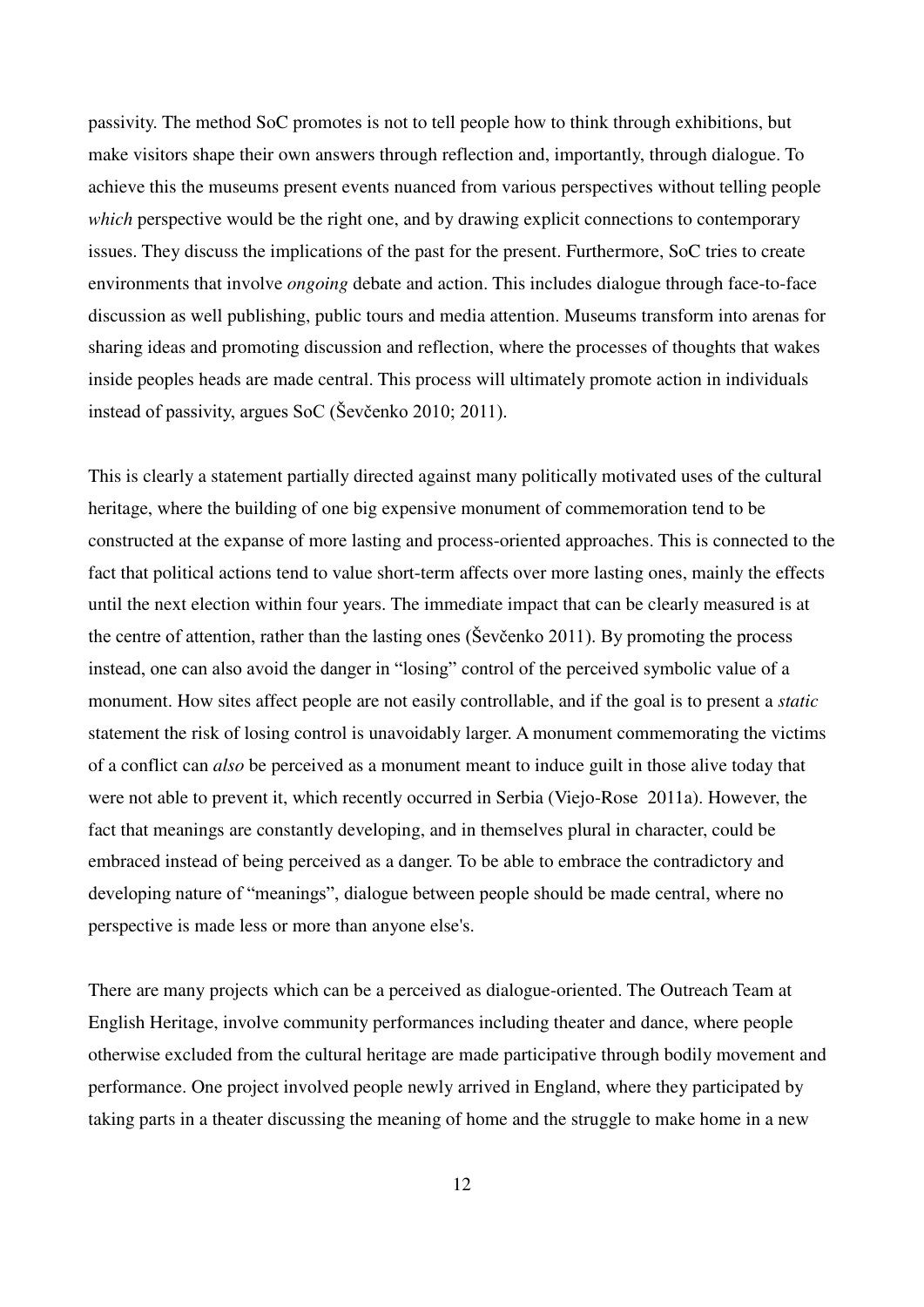passivity. The method SoC promotes is not to tell people how to think through exhibitions, but make visitors shape their own answers through reflection and, importantly, through dialogue. To achieve this the museums present events nuanced from various perspectives without telling people *which* perspective would be the right one, and by drawing explicit connections to contemporary issues. They discuss the implications of the past for the present. Furthermore, SoC tries to create environments that involve *ongoing* debate and action. This includes dialogue through face-to-face discussion as well publishing, public tours and media attention. Museums transform into arenas for sharing ideas and promoting discussion and reflection, where the processes of thoughts that wakes inside peoples heads are made central. This process will ultimately promote action in individuals instead of passivity, argues SoC (̌evčenko 2010; 2011).

This is clearly a statement partially directed against many politically motivated uses of the cultural heritage, where the building of one big expensive monument of commemoration tend to be constructed at the expanse of more lasting and process-oriented approaches. This is connected to the fact that political actions tend to value short-term affects over more lasting ones, mainly the effects until the next election within four years. The immediate impact that can be clearly measured is at the centre of attention, rather than the lasting ones (Sevčenko 2011). By promoting the process instead, one can also avoid the danger in "losing" control of the perceived symbolic value of a monument. How sites affect people are not easily controllable, and if the goal is to present a *static*  statement the risk of losing control is unavoidably larger. A monument commemorating the victims of a conflict can *also* be perceived as a monument meant to induce guilt in those alive today that were not able to prevent it, which recently occurred in Serbia (Viejo-Rose 2011a). However, the fact that meanings are constantly developing, and in themselves plural in character, could be embraced instead of being perceived as a danger. To be able to embrace the contradictory and developing nature of "meanings", dialogue between people should be made central, where no perspective is made less or more than anyone else's.

There are many projects which can be a perceived as dialogue-oriented. The Outreach Team at English Heritage, involve community performances including theater and dance, where people otherwise excluded from the cultural heritage are made participative through bodily movement and performance. One project involved people newly arrived in England, where they participated by taking parts in a theater discussing the meaning of home and the struggle to make home in a new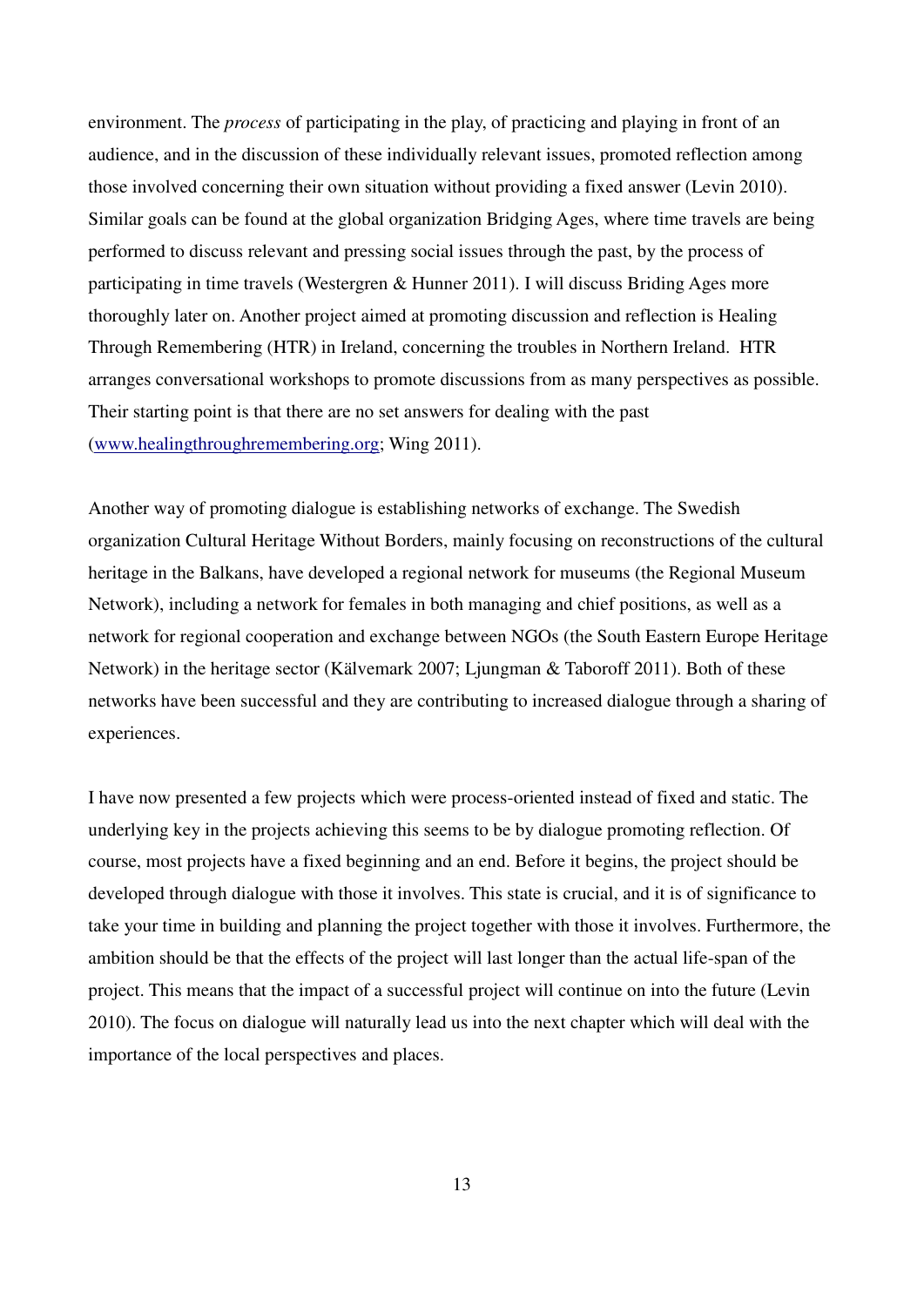environment. The *process* of participating in the play, of practicing and playing in front of an audience, and in the discussion of these individually relevant issues, promoted reflection among those involved concerning their own situation without providing a fixed answer (Levin 2010). Similar goals can be found at the global organization Bridging Ages, where time travels are being performed to discuss relevant and pressing social issues through the past, by the process of participating in time travels (Westergren & Hunner 2011). I will discuss Briding Ages more thoroughly later on. Another project aimed at promoting discussion and reflection is Healing Through Remembering (HTR) in Ireland, concerning the troubles in Northern Ireland. HTR arranges conversational workshops to promote discussions from as many perspectives as possible. Their starting point is that there are no set answers for dealing with the past [\(www.healingthroughremembering.org;](http://www.healingthroughremembering.org/) Wing 2011).

Another way of promoting dialogue is establishing networks of exchange. The Swedish organization Cultural Heritage Without Borders, mainly focusing on reconstructions of the cultural heritage in the Balkans, have developed a regional network for museums (the Regional Museum Network), including a network for females in both managing and chief positions, as well as a network for regional cooperation and exchange between NGOs (the South Eastern Europe Heritage Network) in the heritage sector (Kälvemark 2007; Ljungman & Taboroff 2011). Both of these networks have been successful and they are contributing to increased dialogue through a sharing of experiences.

I have now presented a few projects which were process-oriented instead of fixed and static. The underlying key in the projects achieving this seems to be by dialogue promoting reflection. Of course, most projects have a fixed beginning and an end. Before it begins, the project should be developed through dialogue with those it involves. This state is crucial, and it is of significance to take your time in building and planning the project together with those it involves. Furthermore, the ambition should be that the effects of the project will last longer than the actual life-span of the project. This means that the impact of a successful project will continue on into the future (Levin 2010). The focus on dialogue will naturally lead us into the next chapter which will deal with the importance of the local perspectives and places.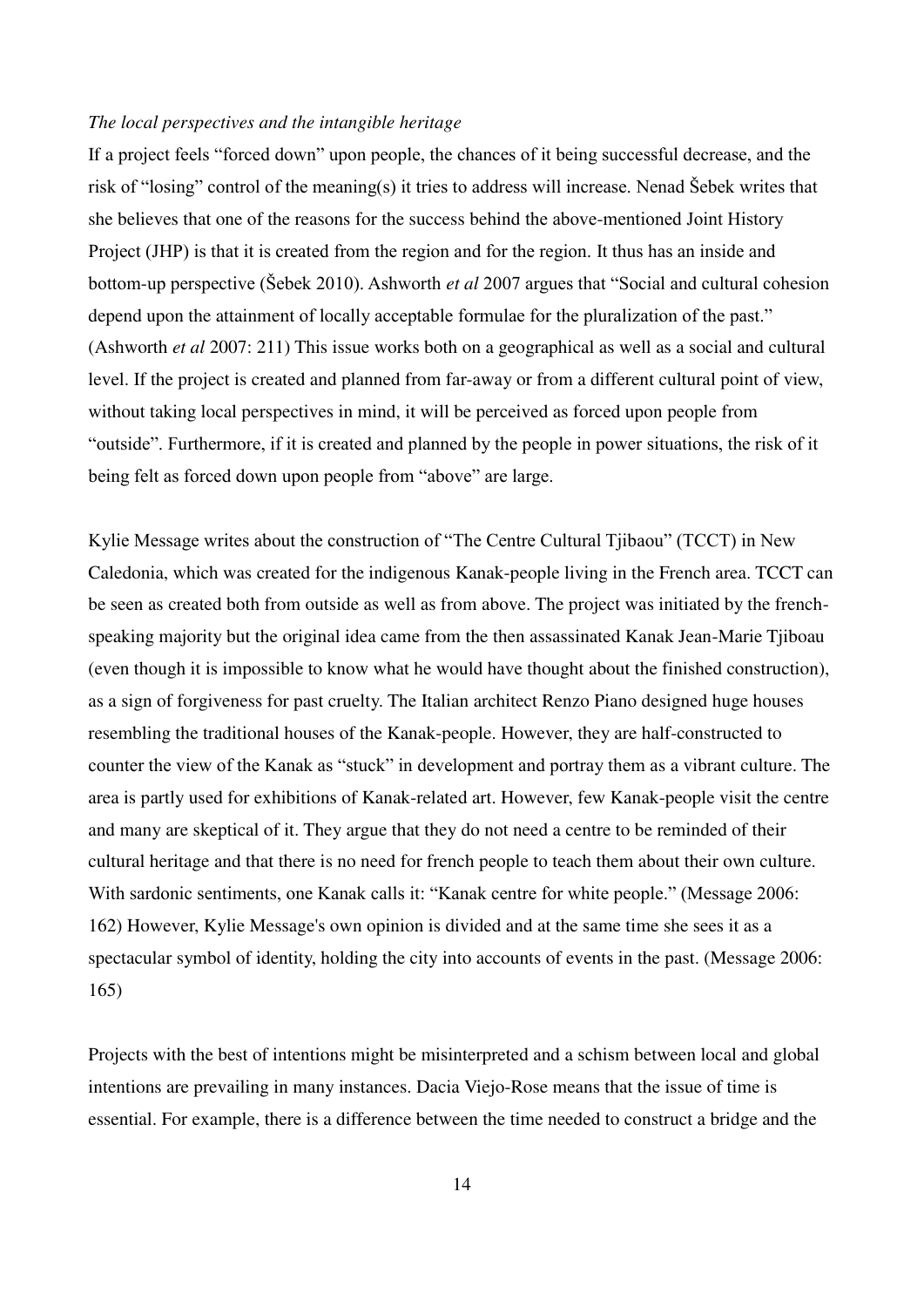#### *The local perspectives and the intangible heritage*

If a project feels "forced down" upon people, the chances of it being successful decrease, and the risk of "losing" control of the meaning(s) it tries to address will increase. Nenad ̌ebek writes that she believes that one of the reasons for the success behind the above-mentioned Joint History Project (JHP) is that it is created from the region and for the region. It thus has an inside and bottom-up perspective (̌ebek 2010). Ashworth *et al* 2007 argues that "Social and cultural cohesion depend upon the attainment of locally acceptable formulae for the pluralization of the past." (Ashworth *et al* 2007: 211) This issue works both on a geographical as well as a social and cultural level. If the project is created and planned from far-away or from a different cultural point of view, without taking local perspectives in mind, it will be perceived as forced upon people from "outside". Furthermore, if it is created and planned by the people in power situations, the risk of it being felt as forced down upon people from "above" are large.

Kylie Message writes about the construction of "The Centre Cultural Tjibaou" (TCCT) in New Caledonia, which was created for the indigenous Kanak-people living in the French area. TCCT can be seen as created both from outside as well as from above. The project was initiated by the frenchspeaking majority but the original idea came from the then assassinated Kanak Jean-Marie Tjiboau (even though it is impossible to know what he would have thought about the finished construction), as a sign of forgiveness for past cruelty. The Italian architect Renzo Piano designed huge houses resembling the traditional houses of the Kanak-people. However, they are half-constructed to counter the view of the Kanak as "stuck" in development and portray them as a vibrant culture. The area is partly used for exhibitions of Kanak-related art. However, few Kanak-people visit the centre and many are skeptical of it. They argue that they do not need a centre to be reminded of their cultural heritage and that there is no need for french people to teach them about their own culture. With sardonic sentiments, one Kanak calls it: "Kanak centre for white people." (Message 2006: 162) However, Kylie Message's own opinion is divided and at the same time she sees it as a spectacular symbol of identity, holding the city into accounts of events in the past. (Message 2006: 165)

Projects with the best of intentions might be misinterpreted and a schism between local and global intentions are prevailing in many instances. Dacia Viejo-Rose means that the issue of time is essential. For example, there is a difference between the time needed to construct a bridge and the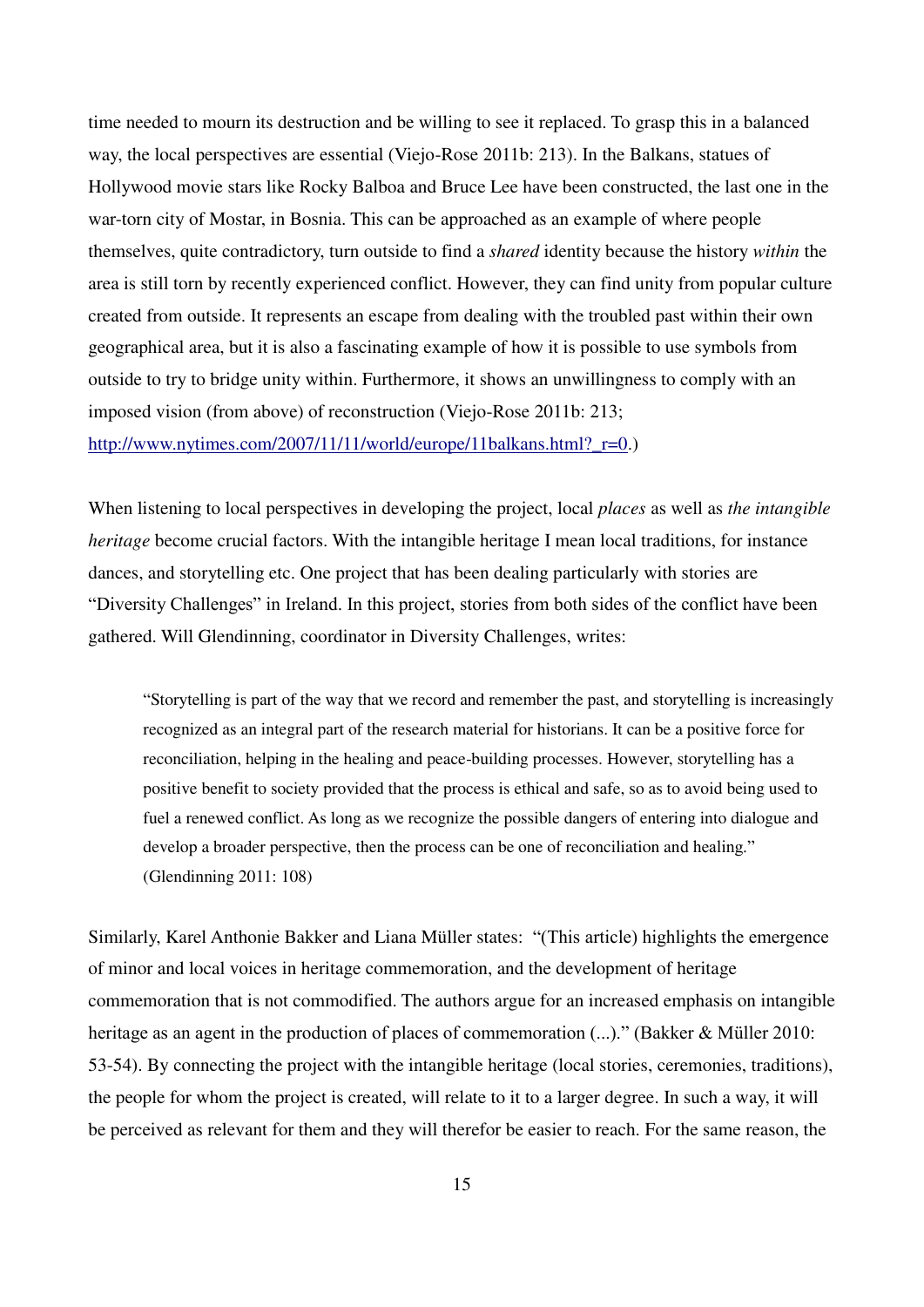time needed to mourn its destruction and be willing to see it replaced. To grasp this in a balanced way, the local perspectives are essential (Viejo-Rose 2011b: 213). In the Balkans, statues of Hollywood movie stars like Rocky Balboa and Bruce Lee have been constructed, the last one in the war-torn city of Mostar, in Bosnia. This can be approached as an example of where people themselves, quite contradictory, turn outside to find a *shared* identity because the history *within* the area is still torn by recently experienced conflict. However, they can find unity from popular culture created from outside. It represents an escape from dealing with the troubled past within their own geographical area, but it is also a fascinating example of how it is possible to use symbols from outside to try to bridge unity within. Furthermore, it shows an unwillingness to comply with an imposed vision (from above) of reconstruction (Viejo-Rose 2011b: 213; [http://www.nytimes.com/2007/11/11/world/europe/11balkans.html?\\_r=0.](http://www.nytimes.com/2007/11/11/world/europe/11balkans.html?_r=0))

When listening to local perspectives in developing the project, local *places* as well as *the intangible heritage* become crucial factors. With the intangible heritage I mean local traditions, for instance dances, and storytelling etc. One project that has been dealing particularly with stories are "Diversity Challenges" in Ireland. In this project, stories from both sides of the conflict have been gathered. Will Glendinning, coordinator in Diversity Challenges, writes:

"Storytelling is part of the way that we record and remember the past, and storytelling is increasingly recognized as an integral part of the research material for historians. It can be a positive force for reconciliation, helping in the healing and peace-building processes. However, storytelling has a positive benefit to society provided that the process is ethical and safe, so as to avoid being used to fuel a renewed conflict. As long as we recognize the possible dangers of entering into dialogue and develop a broader perspective, then the process can be one of reconciliation and healing." (Glendinning 2011: 108)

Similarly, Karel Anthonie Bakker and Liana Müller states: "(This article) highlights the emergence of minor and local voices in heritage commemoration, and the development of heritage commemoration that is not commodified. The authors argue for an increased emphasis on intangible heritage as an agent in the production of places of commemoration (...)." (Bakker & Müller 2010: 53-54). By connecting the project with the intangible heritage (local stories, ceremonies, traditions), the people for whom the project is created, will relate to it to a larger degree. In such a way, it will be perceived as relevant for them and they will therefor be easier to reach. For the same reason, the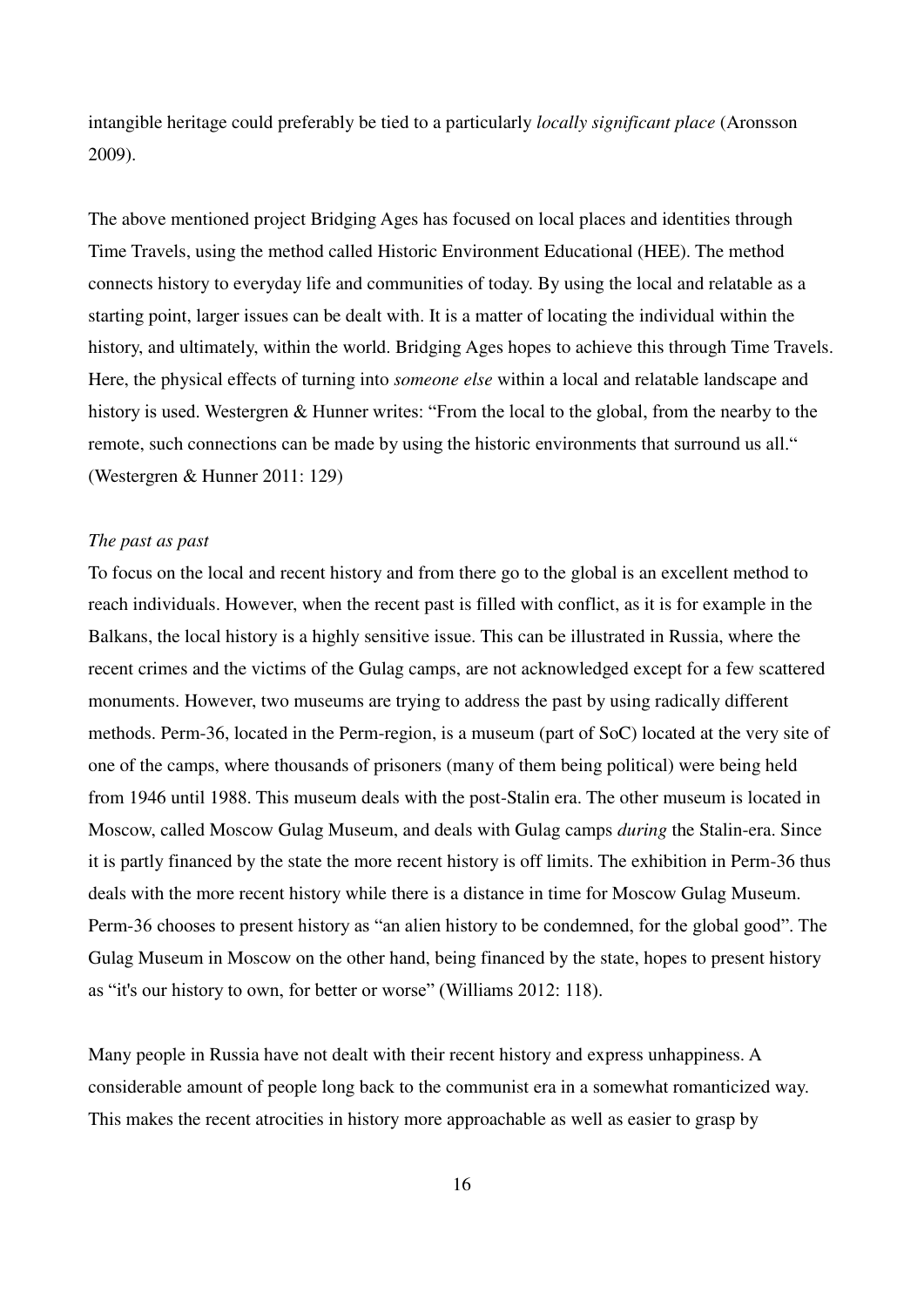intangible heritage could preferably be tied to a particularly *locally significant place* (Aronsson 2009).

The above mentioned project Bridging Ages has focused on local places and identities through Time Travels, using the method called Historic Environment Educational (HEE). The method connects history to everyday life and communities of today. By using the local and relatable as a starting point, larger issues can be dealt with. It is a matter of locating the individual within the history, and ultimately, within the world. Bridging Ages hopes to achieve this through Time Travels. Here, the physical effects of turning into *someone else* within a local and relatable landscape and history is used. Westergren & Hunner writes: "From the local to the global, from the nearby to the remote, such connections can be made by using the historic environments that surround us all." (Westergren & Hunner 2011: 129)

#### *The past as past*

To focus on the local and recent history and from there go to the global is an excellent method to reach individuals. However, when the recent past is filled with conflict, as it is for example in the Balkans, the local history is a highly sensitive issue. This can be illustrated in Russia, where the recent crimes and the victims of the Gulag camps, are not acknowledged except for a few scattered monuments. However, two museums are trying to address the past by using radically different methods. Perm-36, located in the Perm-region, is a museum (part of SoC) located at the very site of one of the camps, where thousands of prisoners (many of them being political) were being held from 1946 until 1988. This museum deals with the post-Stalin era. The other museum is located in Moscow, called Moscow Gulag Museum, and deals with Gulag camps *during* the Stalin-era. Since it is partly financed by the state the more recent history is off limits. The exhibition in Perm-36 thus deals with the more recent history while there is a distance in time for Moscow Gulag Museum. Perm-36 chooses to present history as "an alien history to be condemned, for the global good". The Gulag Museum in Moscow on the other hand, being financed by the state, hopes to present history as "it's our history to own, for better or worse" (Williams 2012: 118).

Many people in Russia have not dealt with their recent history and express unhappiness. A considerable amount of people long back to the communist era in a somewhat romanticized way. This makes the recent atrocities in history more approachable as well as easier to grasp by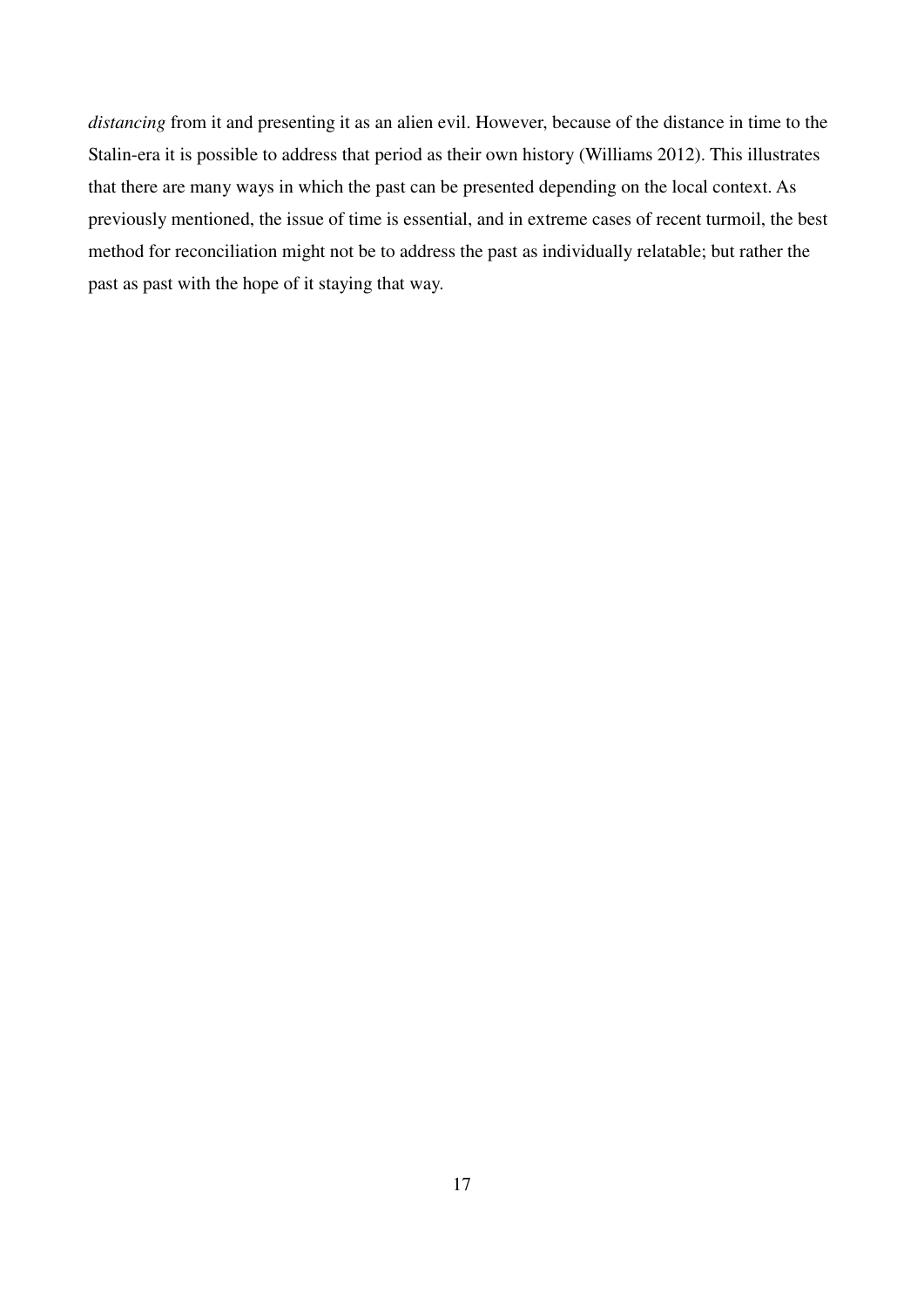*distancing* from it and presenting it as an alien evil. However, because of the distance in time to the Stalin-era it is possible to address that period as their own history (Williams 2012). This illustrates that there are many ways in which the past can be presented depending on the local context. As previously mentioned, the issue of time is essential, and in extreme cases of recent turmoil, the best method for reconciliation might not be to address the past as individually relatable; but rather the past as past with the hope of it staying that way.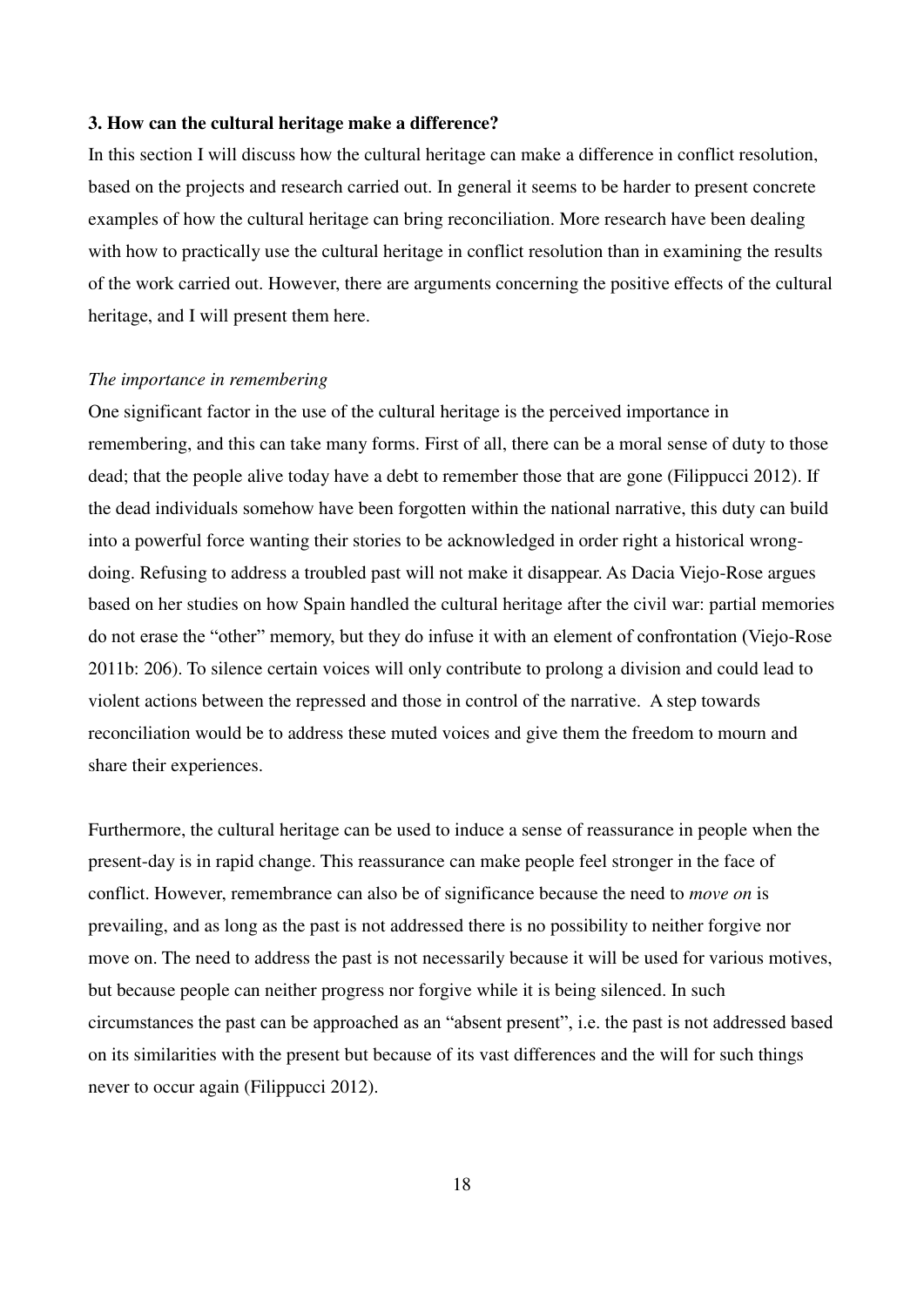#### **3. How can the cultural heritage make a difference?**

In this section I will discuss how the cultural heritage can make a difference in conflict resolution, based on the projects and research carried out. In general it seems to be harder to present concrete examples of how the cultural heritage can bring reconciliation. More research have been dealing with how to practically use the cultural heritage in conflict resolution than in examining the results of the work carried out. However, there are arguments concerning the positive effects of the cultural heritage, and I will present them here.

#### *The importance in remembering*

One significant factor in the use of the cultural heritage is the perceived importance in remembering, and this can take many forms. First of all, there can be a moral sense of duty to those dead; that the people alive today have a debt to remember those that are gone (Filippucci 2012). If the dead individuals somehow have been forgotten within the national narrative, this duty can build into a powerful force wanting their stories to be acknowledged in order right a historical wrongdoing. Refusing to address a troubled past will not make it disappear. As Dacia Viejo-Rose argues based on her studies on how Spain handled the cultural heritage after the civil war: partial memories do not erase the "other" memory, but they do infuse it with an element of confrontation (Viejo-Rose 2011b: 206). To silence certain voices will only contribute to prolong a division and could lead to violent actions between the repressed and those in control of the narrative. A step towards reconciliation would be to address these muted voices and give them the freedom to mourn and share their experiences.

Furthermore, the cultural heritage can be used to induce a sense of reassurance in people when the present-day is in rapid change. This reassurance can make people feel stronger in the face of conflict. However, remembrance can also be of significance because the need to *move on* is prevailing, and as long as the past is not addressed there is no possibility to neither forgive nor move on. The need to address the past is not necessarily because it will be used for various motives, but because people can neither progress nor forgive while it is being silenced. In such circumstances the past can be approached as an "absent present", i.e. the past is not addressed based on its similarities with the present but because of its vast differences and the will for such things never to occur again (Filippucci 2012).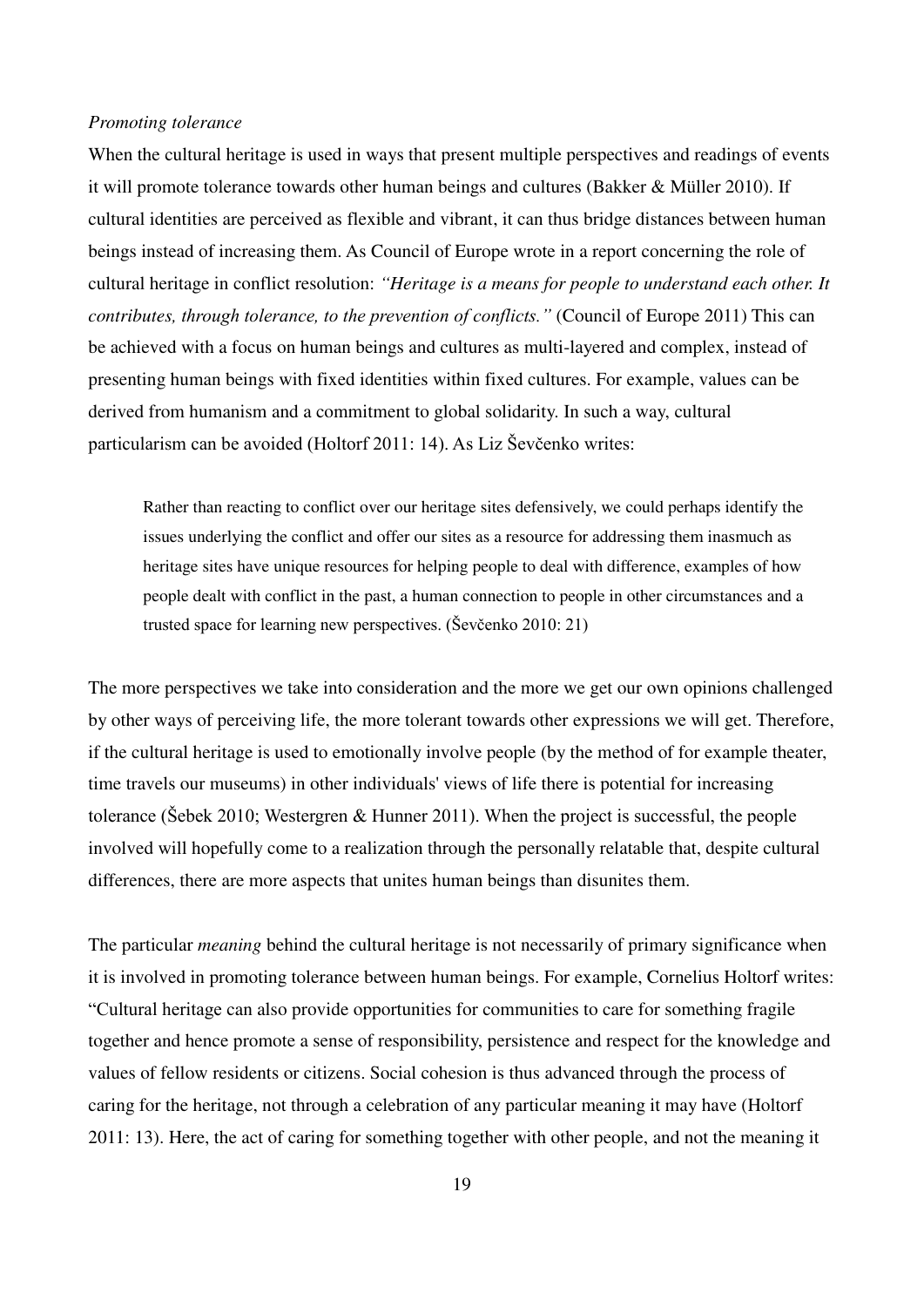#### *Promoting tolerance*

When the cultural heritage is used in ways that present multiple perspectives and readings of events it will promote tolerance towards other human beings and cultures (Bakker & Müller 2010). If cultural identities are perceived as flexible and vibrant, it can thus bridge distances between human beings instead of increasing them. As Council of Europe wrote in a report concerning the role of cultural heritage in conflict resolution: *"Heritage is a means for people to understand each other. It contributes, through tolerance, to the prevention of conflicts."* (Council of Europe 2011) This can be achieved with a focus on human beings and cultures as multi-layered and complex, instead of presenting human beings with fixed identities within fixed cultures. For example, values can be derived from humanism and a commitment to global solidarity. In such a way, cultural particularism can be avoided (Holtorf 2011: 14). As Liz Ševčenko writes:

Rather than reacting to conflict over our heritage sites defensively, we could perhaps identify the issues underlying the conflict and offer our sites as a resource for addressing them inasmuch as heritage sites have unique resources for helping people to deal with difference, examples of how people dealt with conflict in the past, a human connection to people in other circumstances and a trusted space for learning new perspectives. (Ševčenko 2010: 21)

The more perspectives we take into consideration and the more we get our own opinions challenged by other ways of perceiving life, the more tolerant towards other expressions we will get. Therefore, if the cultural heritage is used to emotionally involve people (by the method of for example theater, time travels our museums) in other individuals' views of life there is potential for increasing tolerance ( $\text{\r{S}ebek } 2010$ ; Westergren & Hunner 2011). When the project is successful, the people involved will hopefully come to a realization through the personally relatable that, despite cultural differences, there are more aspects that unites human beings than disunites them.

The particular *meaning* behind the cultural heritage is not necessarily of primary significance when it is involved in promoting tolerance between human beings. For example, Cornelius Holtorf writes: "Cultural heritage can also provide opportunities for communities to care for something fragile together and hence promote a sense of responsibility, persistence and respect for the knowledge and values of fellow residents or citizens. Social cohesion is thus advanced through the process of caring for the heritage, not through a celebration of any particular meaning it may have (Holtorf 2011: 13). Here, the act of caring for something together with other people, and not the meaning it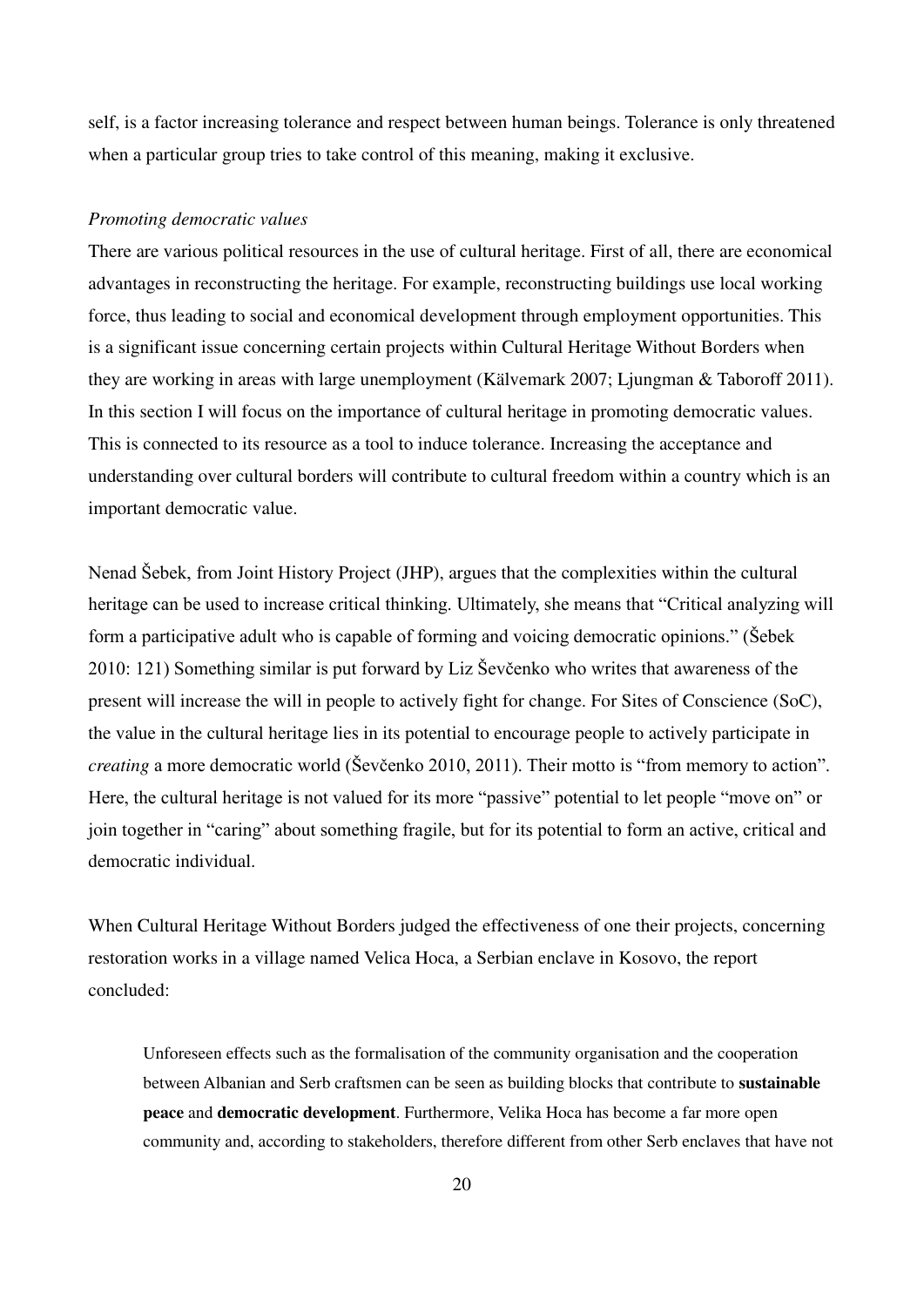self, is a factor increasing tolerance and respect between human beings. Tolerance is only threatened when a particular group tries to take control of this meaning, making it exclusive.

#### *Promoting democratic values*

There are various political resources in the use of cultural heritage. First of all, there are economical advantages in reconstructing the heritage. For example, reconstructing buildings use local working force, thus leading to social and economical development through employment opportunities. This is a significant issue concerning certain projects within Cultural Heritage Without Borders when they are working in areas with large unemployment (Kälvemark 2007; Ljungman & Taboroff 2011). In this section I will focus on the importance of cultural heritage in promoting democratic values. This is connected to its resource as a tool to induce tolerance. Increasing the acceptance and understanding over cultural borders will contribute to cultural freedom within a country which is an important democratic value.

Nenad Šebek, from Joint History Project (JHP), argues that the complexities within the cultural heritage can be used to increase critical thinking. Ultimately, she means that "Critical analyzing will form a participative adult who is capable of forming and voicing democratic opinions." (̌ebek 2010: 121) Something similar is put forward by Liz ̌evčenko who writes that awareness of the present will increase the will in people to actively fight for change. For Sites of Conscience (SoC), the value in the cultural heritage lies in its potential to encourage people to actively participate in *creating* a more democratic world (Ševčenko 2010, 2011). Their motto is "from memory to action". Here, the cultural heritage is not valued for its more "passive" potential to let people "move on" or join together in "caring" about something fragile, but for its potential to form an active, critical and democratic individual.

When Cultural Heritage Without Borders judged the effectiveness of one their projects, concerning restoration works in a village named Velica Hoca, a Serbian enclave in Kosovo, the report concluded:

Unforeseen effects such as the formalisation of the community organisation and the cooperation between Albanian and Serb craftsmen can be seen as building blocks that contribute to **sustainable peace** and **democratic development**. Furthermore, Velika Hoca has become a far more open community and, according to stakeholders, therefore different from other Serb enclaves that have not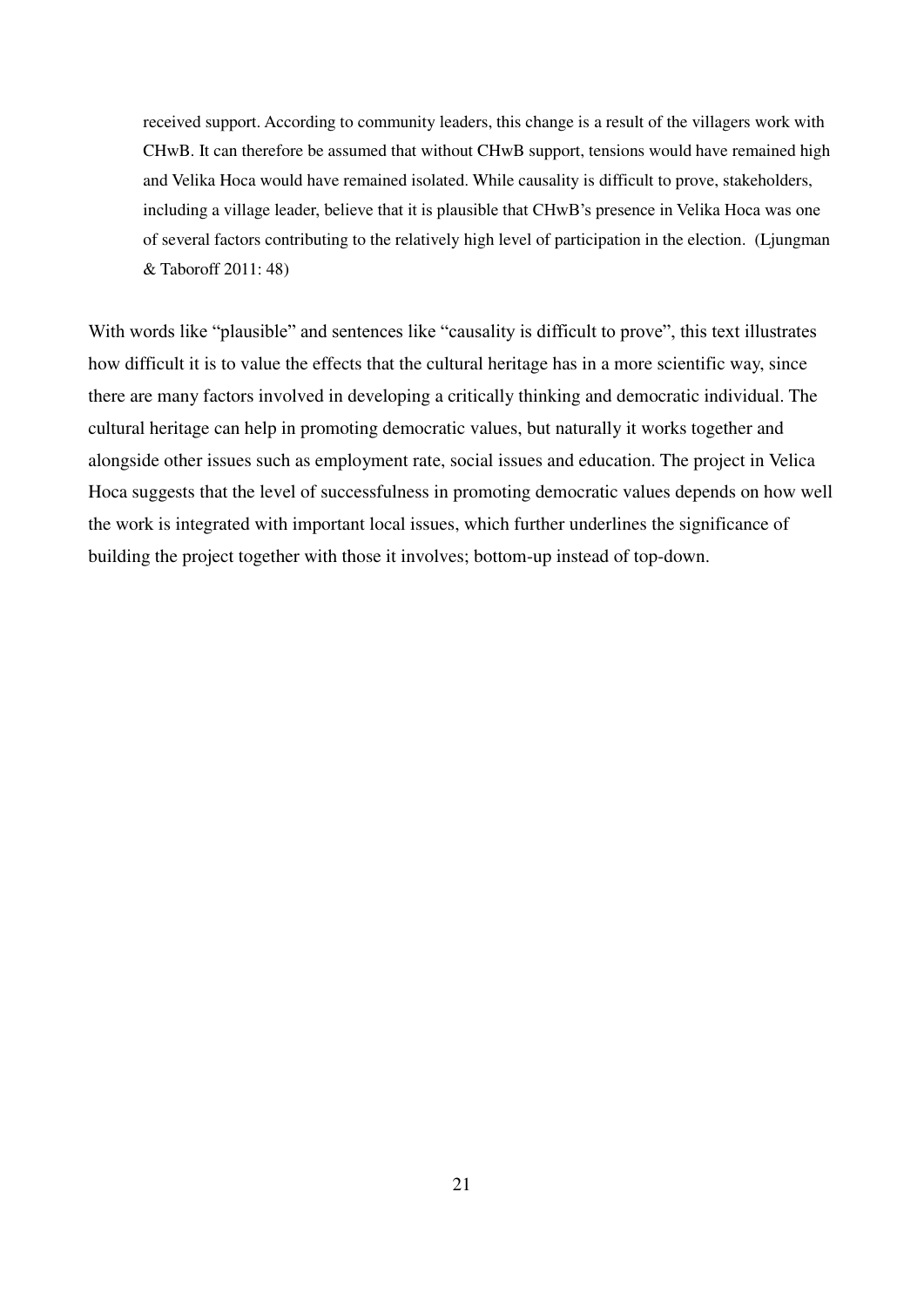received support. According to community leaders, this change is a result of the villagers work with CHwB. It can therefore be assumed that without CHwB support, tensions would have remained high and Velika Hoca would have remained isolated. While causality is difficult to prove, stakeholders, including a village leader, believe that it is plausible that CHwB's presence in Velika Hoca was one of several factors contributing to the relatively high level of participation in the election. (Ljungman & Taboroff 2011: 48)

With words like "plausible" and sentences like "causality is difficult to prove", this text illustrates how difficult it is to value the effects that the cultural heritage has in a more scientific way, since there are many factors involved in developing a critically thinking and democratic individual. The cultural heritage can help in promoting democratic values, but naturally it works together and alongside other issues such as employment rate, social issues and education. The project in Velica Hoca suggests that the level of successfulness in promoting democratic values depends on how well the work is integrated with important local issues, which further underlines the significance of building the project together with those it involves; bottom-up instead of top-down.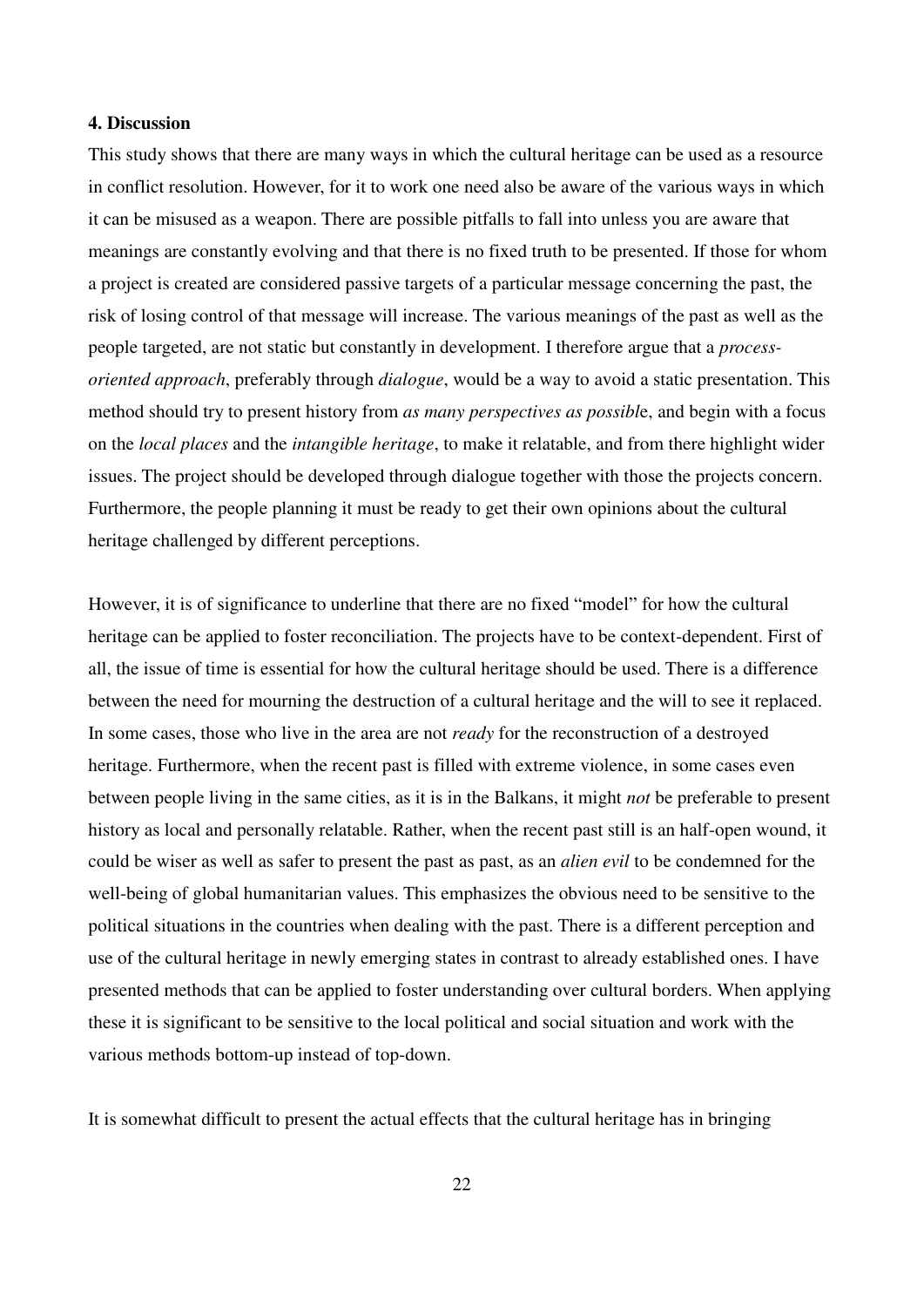#### **4. Discussion**

This study shows that there are many ways in which the cultural heritage can be used as a resource in conflict resolution. However, for it to work one need also be aware of the various ways in which it can be misused as a weapon. There are possible pitfalls to fall into unless you are aware that meanings are constantly evolving and that there is no fixed truth to be presented. If those for whom a project is created are considered passive targets of a particular message concerning the past, the risk of losing control of that message will increase. The various meanings of the past as well as the people targeted, are not static but constantly in development. I therefore argue that a *processoriented approach*, preferably through *dialogue*, would be a way to avoid a static presentation. This method should try to present history from *as many perspectives as possibl*e, and begin with a focus on the *local places* and the *intangible heritage*, to make it relatable, and from there highlight wider issues. The project should be developed through dialogue together with those the projects concern. Furthermore, the people planning it must be ready to get their own opinions about the cultural heritage challenged by different perceptions.

However, it is of significance to underline that there are no fixed "model" for how the cultural heritage can be applied to foster reconciliation. The projects have to be context-dependent. First of all, the issue of time is essential for how the cultural heritage should be used. There is a difference between the need for mourning the destruction of a cultural heritage and the will to see it replaced. In some cases, those who live in the area are not *ready* for the reconstruction of a destroyed heritage. Furthermore, when the recent past is filled with extreme violence, in some cases even between people living in the same cities, as it is in the Balkans, it might *not* be preferable to present history as local and personally relatable. Rather, when the recent past still is an half-open wound, it could be wiser as well as safer to present the past as past, as an *alien evil* to be condemned for the well-being of global humanitarian values. This emphasizes the obvious need to be sensitive to the political situations in the countries when dealing with the past. There is a different perception and use of the cultural heritage in newly emerging states in contrast to already established ones. I have presented methods that can be applied to foster understanding over cultural borders. When applying these it is significant to be sensitive to the local political and social situation and work with the various methods bottom-up instead of top-down.

It is somewhat difficult to present the actual effects that the cultural heritage has in bringing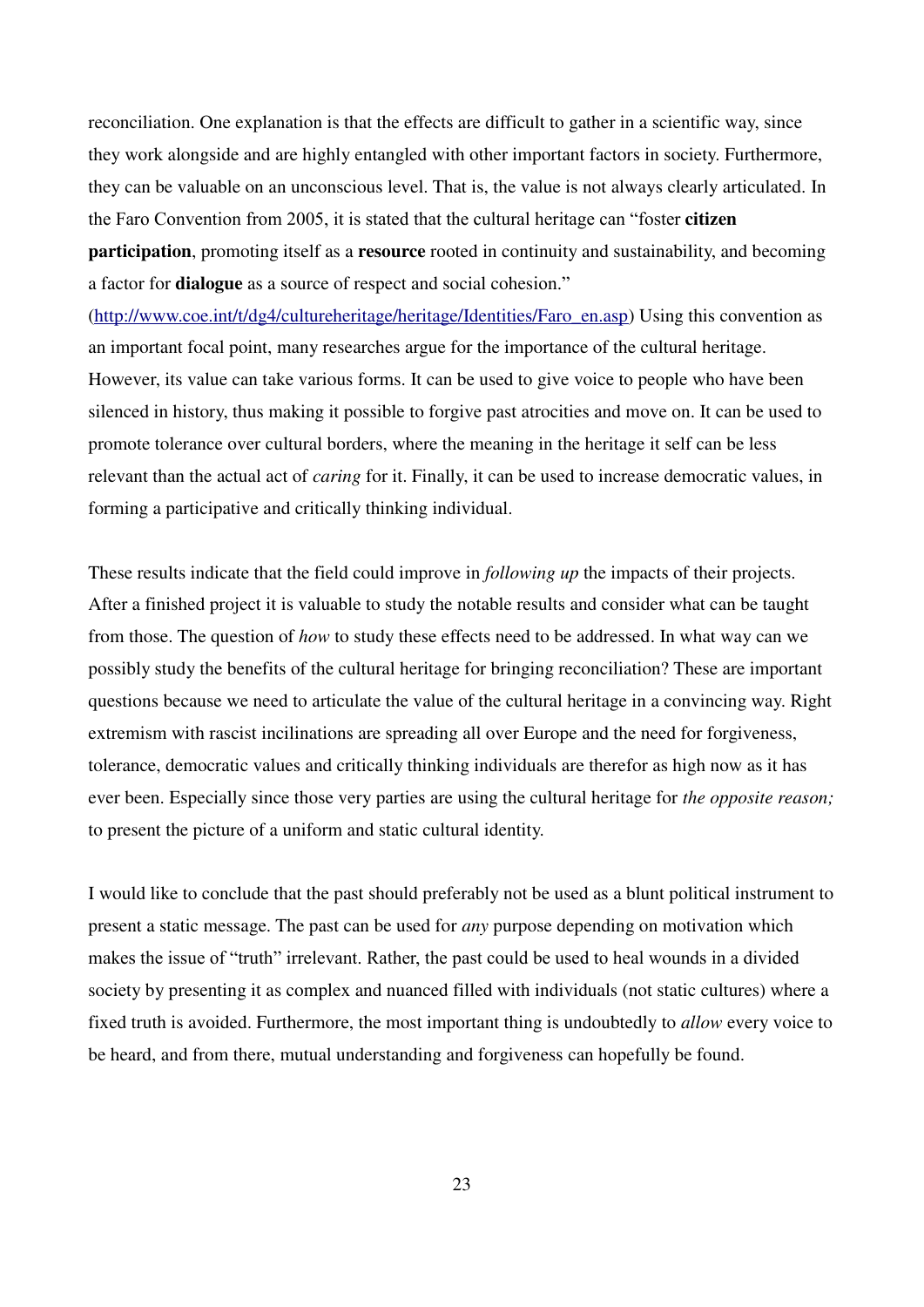reconciliation. One explanation is that the effects are difficult to gather in a scientific way, since they work alongside and are highly entangled with other important factors in society. Furthermore, they can be valuable on an unconscious level. That is, the value is not always clearly articulated. In the Faro Convention from 2005, it is stated that the cultural heritage can "foster **citizen participation**, promoting itself as a **resource** rooted in continuity and sustainability, and becoming a factor for **dialogue** as a source of respect and social cohesion."

[\(http://www.coe.int/t/dg4/cultureheritage/heritage/Identities/Faro\\_en.asp\)](http://www.coe.int/t/dg4/cultureheritage/heritage/Identities/Faro_en.asp) Using this convention as an important focal point, many researches argue for the importance of the cultural heritage. However, its value can take various forms. It can be used to give voice to people who have been silenced in history, thus making it possible to forgive past atrocities and move on. It can be used to promote tolerance over cultural borders, where the meaning in the heritage it self can be less relevant than the actual act of *caring* for it. Finally, it can be used to increase democratic values, in forming a participative and critically thinking individual.

These results indicate that the field could improve in *following up* the impacts of their projects. After a finished project it is valuable to study the notable results and consider what can be taught from those. The question of *how* to study these effects need to be addressed. In what way can we possibly study the benefits of the cultural heritage for bringing reconciliation? These are important questions because we need to articulate the value of the cultural heritage in a convincing way. Right extremism with rascist incilinations are spreading all over Europe and the need for forgiveness, tolerance, democratic values and critically thinking individuals are therefor as high now as it has ever been. Especially since those very parties are using the cultural heritage for *the opposite reason;* to present the picture of a uniform and static cultural identity.

I would like to conclude that the past should preferably not be used as a blunt political instrument to present a static message. The past can be used for *any* purpose depending on motivation which makes the issue of "truth" irrelevant. Rather, the past could be used to heal wounds in a divided society by presenting it as complex and nuanced filled with individuals (not static cultures) where a fixed truth is avoided. Furthermore, the most important thing is undoubtedly to *allow* every voice to be heard, and from there, mutual understanding and forgiveness can hopefully be found.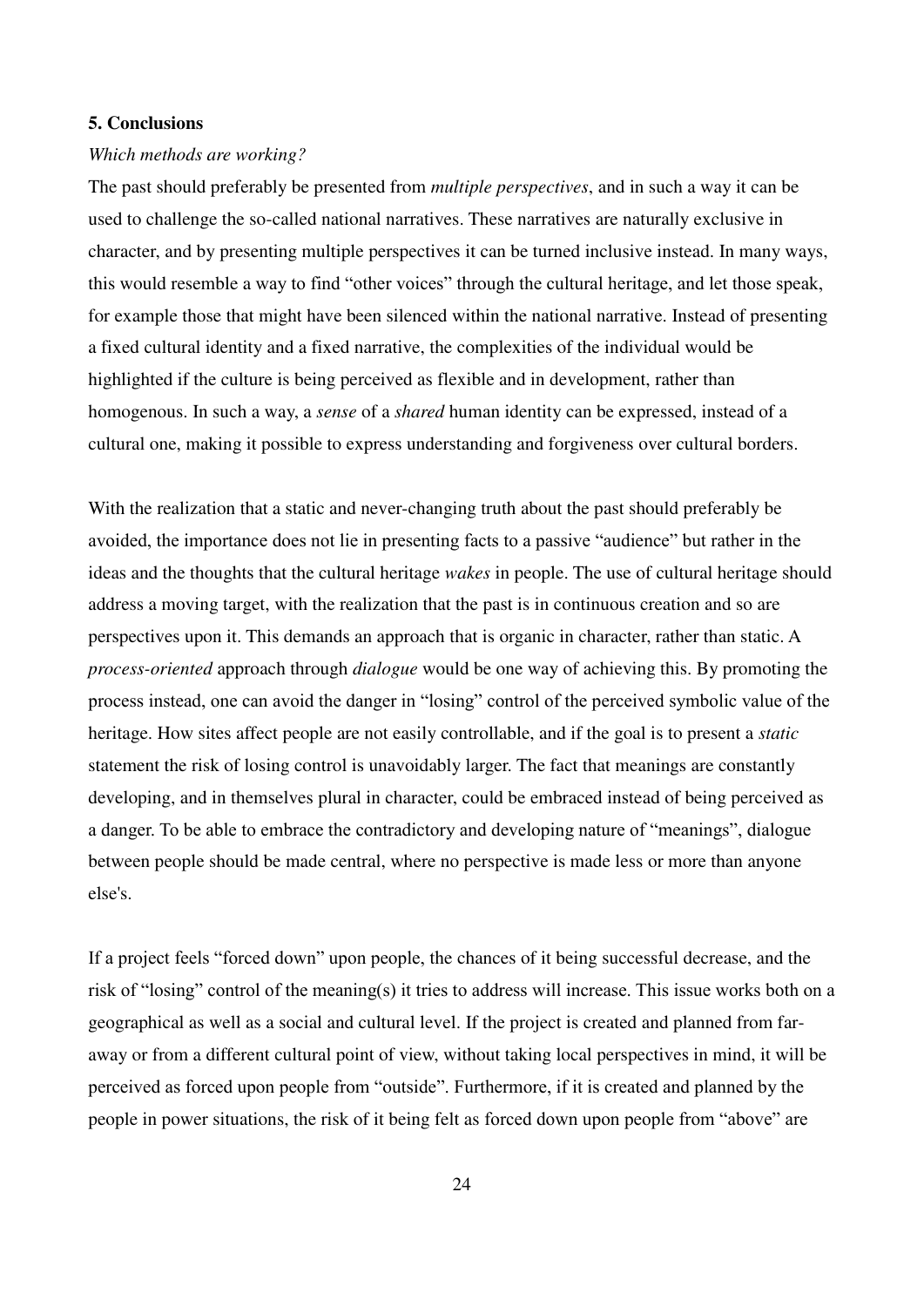#### **5. Conclusions**

#### *Which methods are working?*

The past should preferably be presented from *multiple perspectives*, and in such a way it can be used to challenge the so-called national narratives. These narratives are naturally exclusive in character, and by presenting multiple perspectives it can be turned inclusive instead. In many ways, this would resemble a way to find "other voices" through the cultural heritage, and let those speak, for example those that might have been silenced within the national narrative. Instead of presenting a fixed cultural identity and a fixed narrative, the complexities of the individual would be highlighted if the culture is being perceived as flexible and in development, rather than homogenous. In such a way, a *sense* of a *shared* human identity can be expressed, instead of a cultural one, making it possible to express understanding and forgiveness over cultural borders.

With the realization that a static and never-changing truth about the past should preferably be avoided, the importance does not lie in presenting facts to a passive "audience" but rather in the ideas and the thoughts that the cultural heritage *wakes* in people. The use of cultural heritage should address a moving target, with the realization that the past is in continuous creation and so are perspectives upon it. This demands an approach that is organic in character, rather than static. A *process-oriented* approach through *dialogue* would be one way of achieving this. By promoting the process instead, one can avoid the danger in "losing" control of the perceived symbolic value of the heritage. How sites affect people are not easily controllable, and if the goal is to present a *static*  statement the risk of losing control is unavoidably larger. The fact that meanings are constantly developing, and in themselves plural in character, could be embraced instead of being perceived as a danger. To be able to embrace the contradictory and developing nature of "meanings", dialogue between people should be made central, where no perspective is made less or more than anyone else's.

If a project feels "forced down" upon people, the chances of it being successful decrease, and the risk of "losing" control of the meaning(s) it tries to address will increase. This issue works both on a geographical as well as a social and cultural level. If the project is created and planned from faraway or from a different cultural point of view, without taking local perspectives in mind, it will be perceived as forced upon people from "outside". Furthermore, if it is created and planned by the people in power situations, the risk of it being felt as forced down upon people from "above" are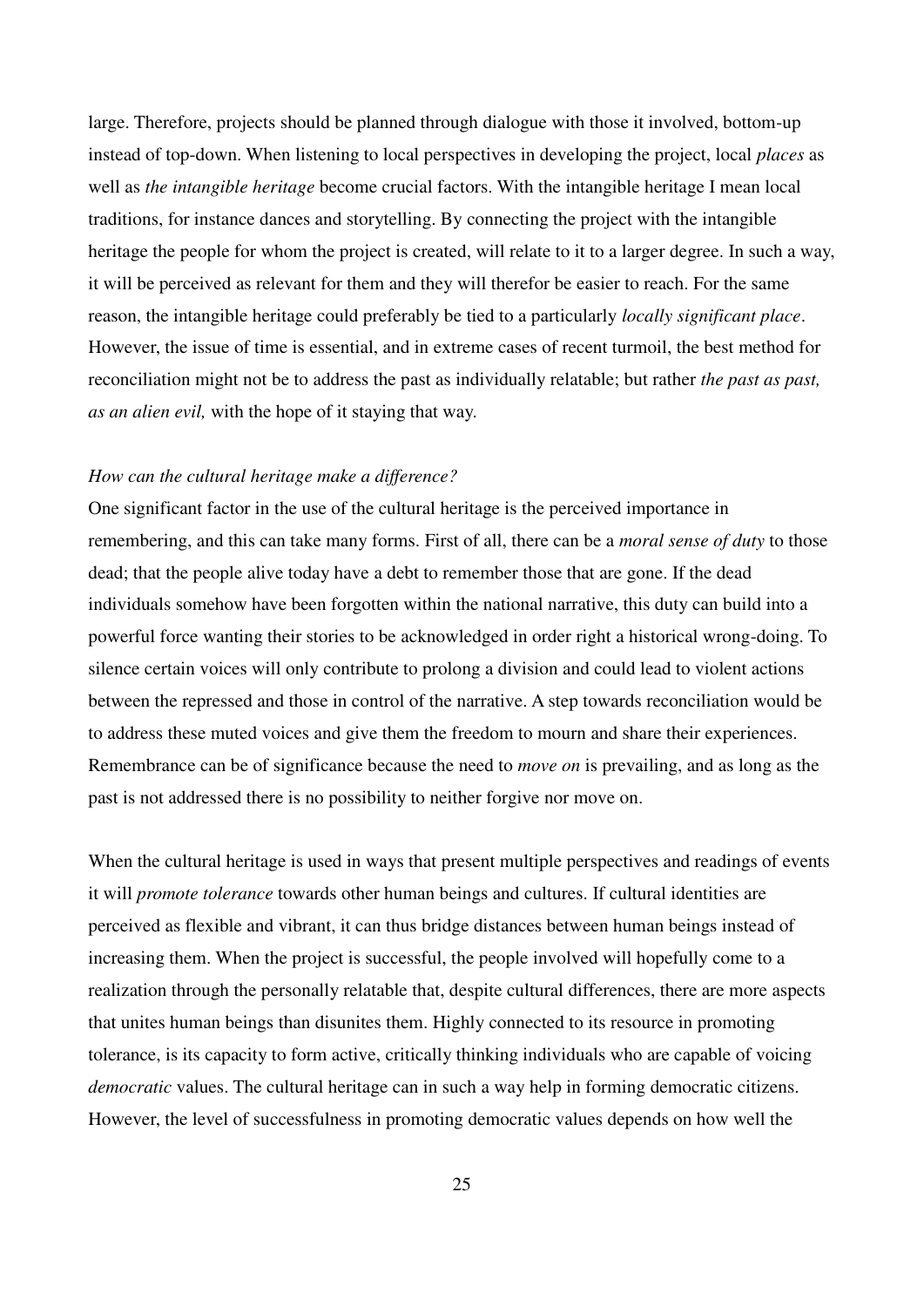large. Therefore, projects should be planned through dialogue with those it involved, bottom-up instead of top-down. When listening to local perspectives in developing the project, local *places* as well as *the intangible heritage* become crucial factors. With the intangible heritage I mean local traditions, for instance dances and storytelling. By connecting the project with the intangible heritage the people for whom the project is created, will relate to it to a larger degree. In such a way, it will be perceived as relevant for them and they will therefor be easier to reach. For the same reason, the intangible heritage could preferably be tied to a particularly *locally significant place*. However, the issue of time is essential, and in extreme cases of recent turmoil, the best method for reconciliation might not be to address the past as individually relatable; but rather *the past as past, as an alien evil,* with the hope of it staying that way.

#### *How can the cultural heritage make a difference?*

One significant factor in the use of the cultural heritage is the perceived importance in remembering, and this can take many forms. First of all, there can be a *moral sense of duty* to those dead; that the people alive today have a debt to remember those that are gone. If the dead individuals somehow have been forgotten within the national narrative, this duty can build into a powerful force wanting their stories to be acknowledged in order right a historical wrong-doing. To silence certain voices will only contribute to prolong a division and could lead to violent actions between the repressed and those in control of the narrative. A step towards reconciliation would be to address these muted voices and give them the freedom to mourn and share their experiences. Remembrance can be of significance because the need to *move on* is prevailing, and as long as the past is not addressed there is no possibility to neither forgive nor move on.

When the cultural heritage is used in ways that present multiple perspectives and readings of events it will *promote tolerance* towards other human beings and cultures. If cultural identities are perceived as flexible and vibrant, it can thus bridge distances between human beings instead of increasing them. When the project is successful, the people involved will hopefully come to a realization through the personally relatable that, despite cultural differences, there are more aspects that unites human beings than disunites them. Highly connected to its resource in promoting tolerance, is its capacity to form active, critically thinking individuals who are capable of voicing *democratic* values. The cultural heritage can in such a way help in forming democratic citizens. However, the level of successfulness in promoting democratic values depends on how well the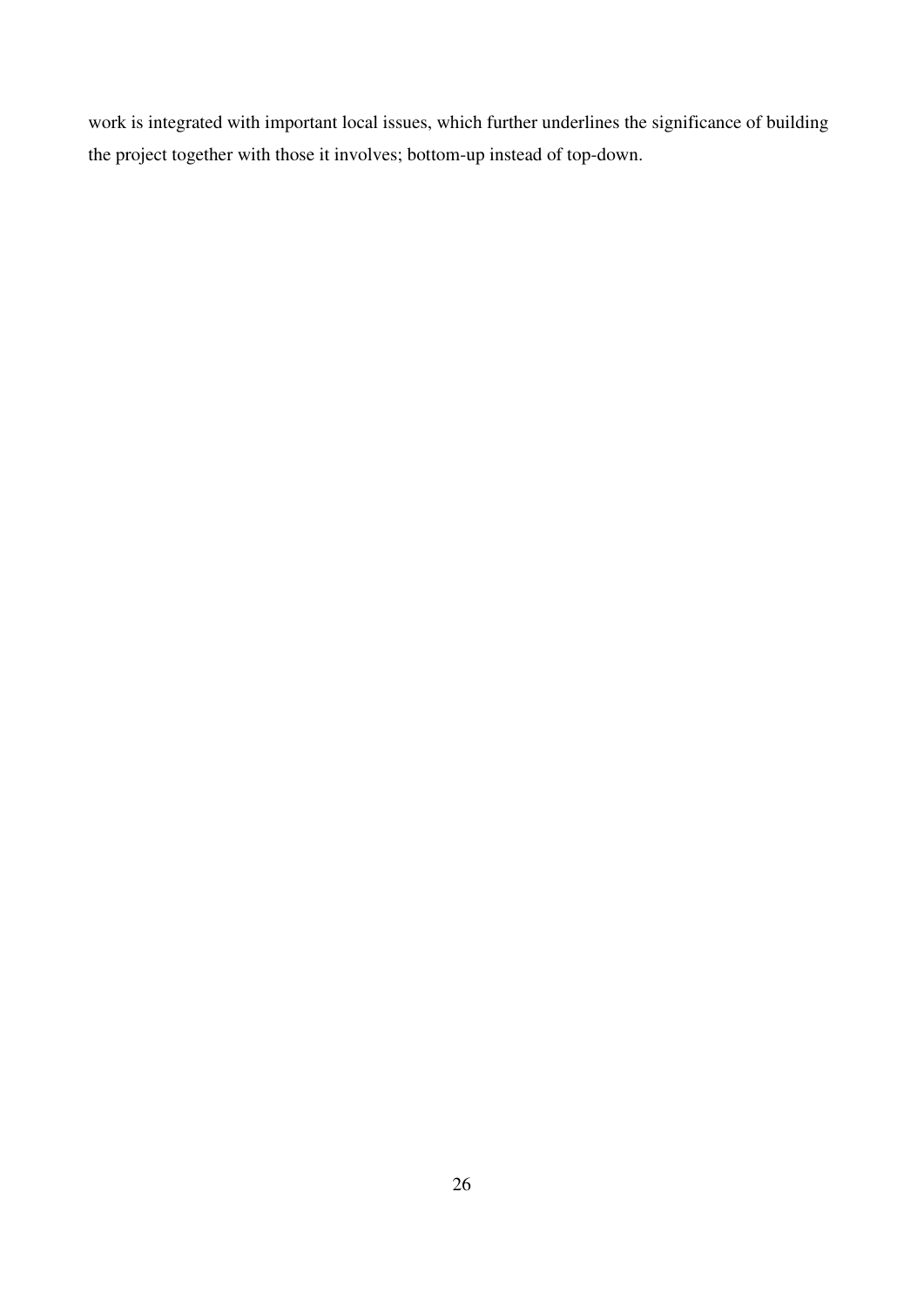work is integrated with important local issues, which further underlines the significance of building the project together with those it involves; bottom-up instead of top-down.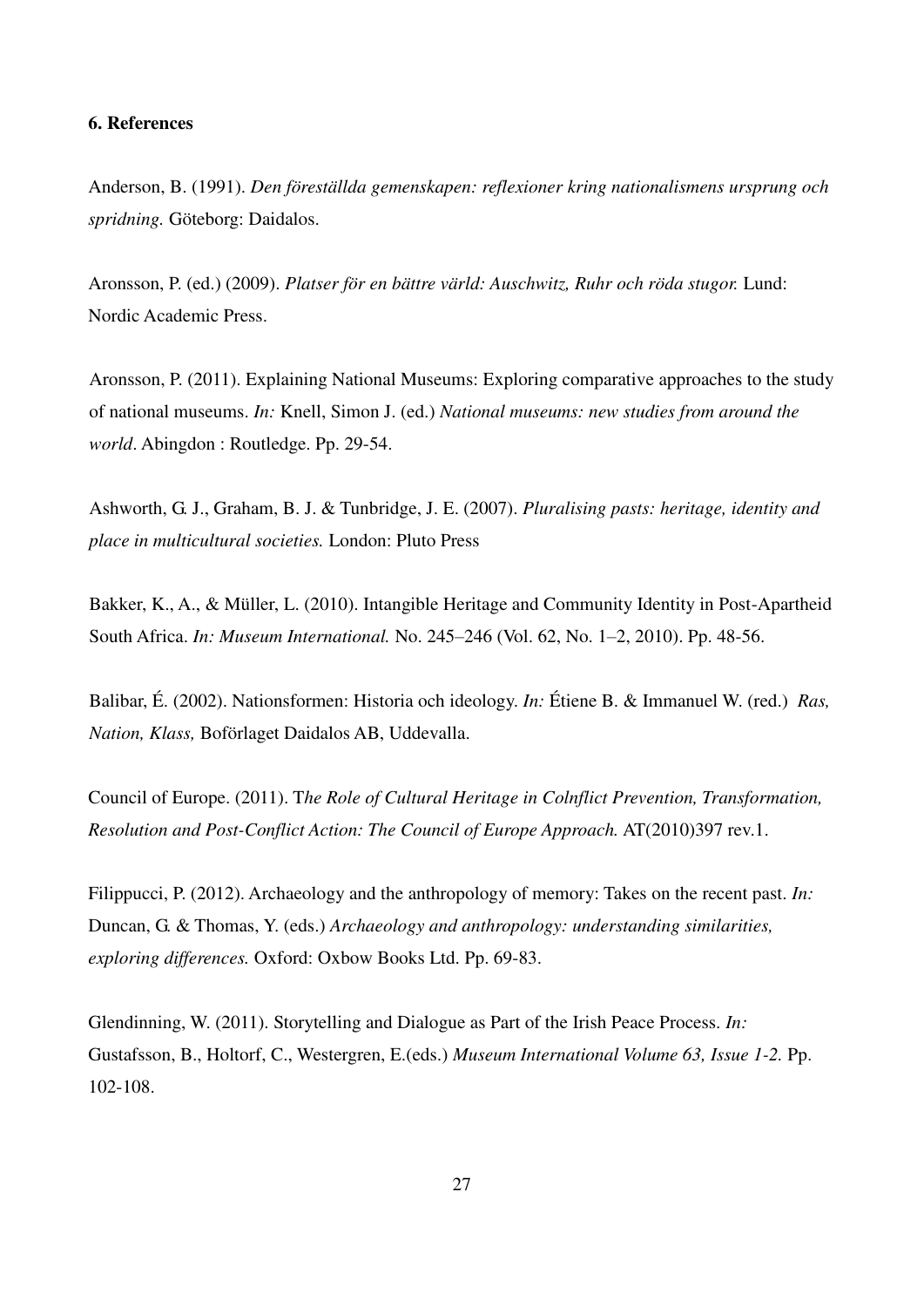#### **6. References**

Anderson, B. (1991). *Den föreställda gemenskapen: reflexioner kring nationalismens ursprung och spridning.* Göteborg: Daidalos.

Aronsson, P. (ed.) (2009). *Platser för en bättre värld: Auschwitz, Ruhr och röda stugor.* Lund: Nordic Academic Press.

Aronsson, P. (2011). Explaining National Museums: Exploring comparative approaches to the study of national museums. *In:* Knell, Simon J. (ed.) *National museums: new studies from around the world*. Abingdon : Routledge. Pp. 29-54.

Ashworth, G. J., Graham, B. J. & Tunbridge, J. E. (2007). *Pluralising pasts: heritage, identity and place in multicultural societies.* London: Pluto Press

Bakker, K., A., & Müller, L. (2010). Intangible Heritage and Community Identity in Post-Apartheid South Africa. *In: Museum International.* No. 245–246 (Vol. 62, No. 1–2, 2010). Pp. 48-56.

Balibar, É. (2002). Nationsformen: Historia och ideology. *In:* Étiene B. & Immanuel W. (red.) *Ras, Nation, Klass,* Boförlaget Daidalos AB, Uddevalla.

Council of Europe. (2011). T*he Role of Cultural Heritage in Colnflict Prevention, Transformation, Resolution and Post-Conflict Action: The Council of Europe Approach.* AT(2010)397 rev.1.

Filippucci, P. (2012). Archaeology and the anthropology of memory: Takes on the recent past. *In:*  Duncan, G. & Thomas, Y. (eds.) *Archaeology and anthropology: understanding similarities, exploring differences.* Oxford: Oxbow Books Ltd. Pp. 69-83.

Glendinning, W. (2011). Storytelling and Dialogue as Part of the Irish Peace Process. *In:*  Gustafsson, B., Holtorf, C., Westergren, E.(eds.) *Museum International Volume 63, Issue 1-2.* Pp. 102-108.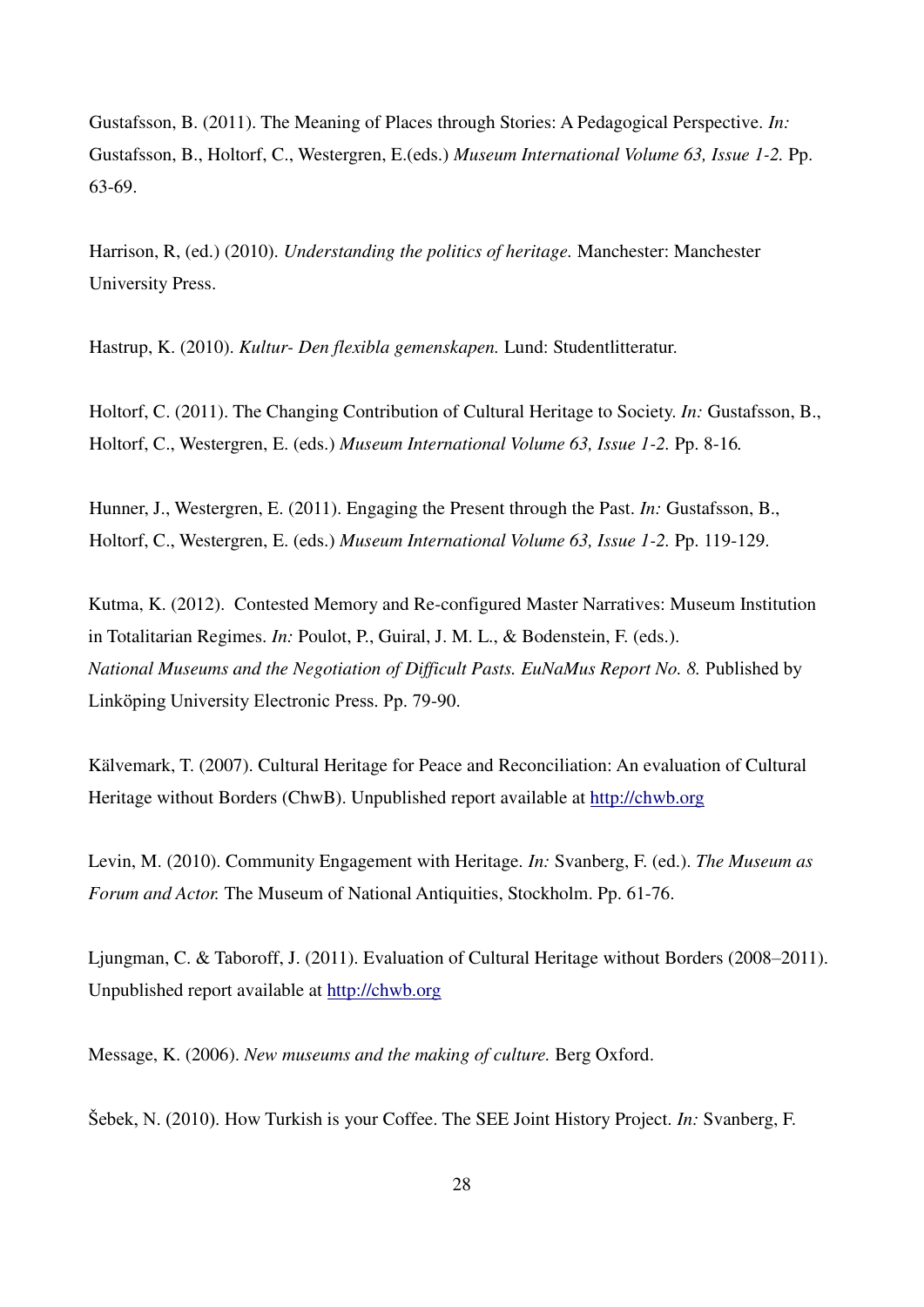Gustafsson, B. (2011). The Meaning of Places through Stories: A Pedagogical Perspective. *In:*  Gustafsson, B., Holtorf, C., Westergren, E.(eds.) *Museum International Volume 63, Issue 1-2.* Pp. 63-69.

Harrison, R, (ed.) (2010). *Understanding the politics of heritage.* Manchester: Manchester University Press.

Hastrup, K. (2010). *Kultur- Den flexibla gemenskapen.* Lund: Studentlitteratur.

Holtorf, C. (2011). The Changing Contribution of Cultural Heritage to Society. *In:* Gustafsson, B., Holtorf, C., Westergren, E. (eds.) *Museum International Volume 63, Issue 1-2.* Pp. 8-16*.* 

Hunner, J., Westergren, E. (2011). Engaging the Present through the Past. *In:* Gustafsson, B., Holtorf, C., Westergren, E. (eds.) *Museum International Volume 63, Issue 1-2.* Pp. 119-129.

Kutma, K. (2012). Contested Memory and Re-configured Master Narratives: Museum Institution in Totalitarian Regimes. *In:* Poulot, P., Guiral, J. M. L., & Bodenstein, F. (eds.). *National Museums and the Negotiation of Difficult Pasts. EuNaMus Report No. 8. Published by* Linköping University Electronic Press. Pp. 79-90.

Kälvemark, T. (2007). Cultural Heritage for Peace and Reconciliation: An evaluation of Cultural Heritage without Borders (ChwB). Unpublished report available at [http://chwb.org](http://chwb.org/)

Levin, M. (2010). Community Engagement with Heritage. *In:* Svanberg, F. (ed.). *The Museum as Forum and Actor.* The Museum of National Antiquities, Stockholm. Pp. 61-76.

Ljungman, C. & Taboroff, J. (2011). Evaluation of Cultural Heritage without Borders (2008–2011). Unpublished report available at [http://chwb.org](http://chwb.org/)

Message, K. (2006). *New museums and the making of culture.* Berg Oxford.

̌ebek, N. (2010). How Turkish is your Coffee. The SEE Joint History Project. *In:* Svanberg, F.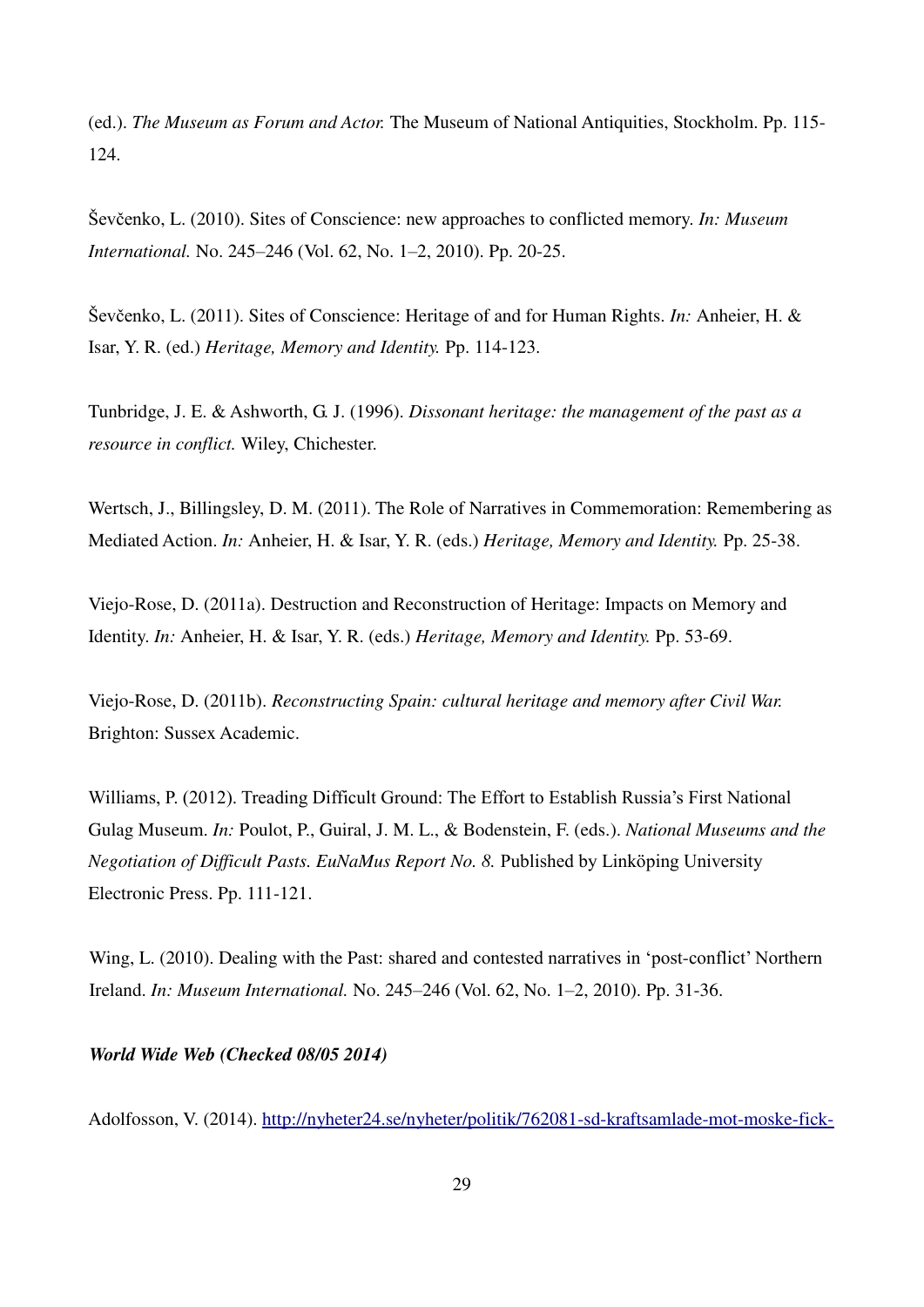(ed.). *The Museum as Forum and Actor.* The Museum of National Antiquities, Stockholm. Pp. 115- 124.

̌evčenko, L. (2010). Sites of Conscience: new approaches to conflicted memory. *In: Museum International.* No. 245–246 (Vol. 62, No. 1–2, 2010). Pp. 20-25.

̌evčenko, L. (2011). Sites of Conscience: Heritage of and for Human Rights. *In:* Anheier, H. & Isar, Y. R. (ed.) *Heritage, Memory and Identity.* Pp. 114-123.

Tunbridge, J. E. & Ashworth, G. J. (1996). *Dissonant heritage: the management of the past as a resource in conflict.* Wiley, Chichester.

Wertsch, J., Billingsley, D. M. (2011). The Role of Narratives in Commemoration: Remembering as Mediated Action. *In:* Anheier, H. & Isar, Y. R. (eds.) *Heritage, Memory and Identity.* Pp. 25-38.

Viejo-Rose, D. (2011a). Destruction and Reconstruction of Heritage: Impacts on Memory and Identity. *In:* Anheier, H. & Isar, Y. R. (eds.) *Heritage, Memory and Identity.* Pp. 53-69.

Viejo-Rose, D. (2011b). *Reconstructing Spain: cultural heritage and memory after Civil War.* Brighton: Sussex Academic.

Williams, P. (2012). Treading Difficult Ground: The Effort to Establish Russia's First National Gulag Museum. *In:* Poulot, P., Guiral, J. M. L., & Bodenstein, F. (eds.). *National Museums and the Negotiation of Difficult Pasts. EuNaMus Report No. 8. Published by Linköping University* Electronic Press. Pp. 111-121.

Wing, L. (2010). Dealing with the Past: shared and contested narratives in 'post-conflict' Northern Ireland. *In: Museum International.* No. 245–246 (Vol. 62, No. 1–2, 2010). Pp. 31-36.

## *World Wide Web (Checked 08/05 2014)*

Adolfosson, V. (2014). [http://nyheter24.se/nyheter/politik/762081-sd-kraftsamlade-mot-moske-fick-](http://nyheter24.se/nyheter/politik/762081-sd-kraftsamlade-mot-moske-fick-ihop-28-underskrifter)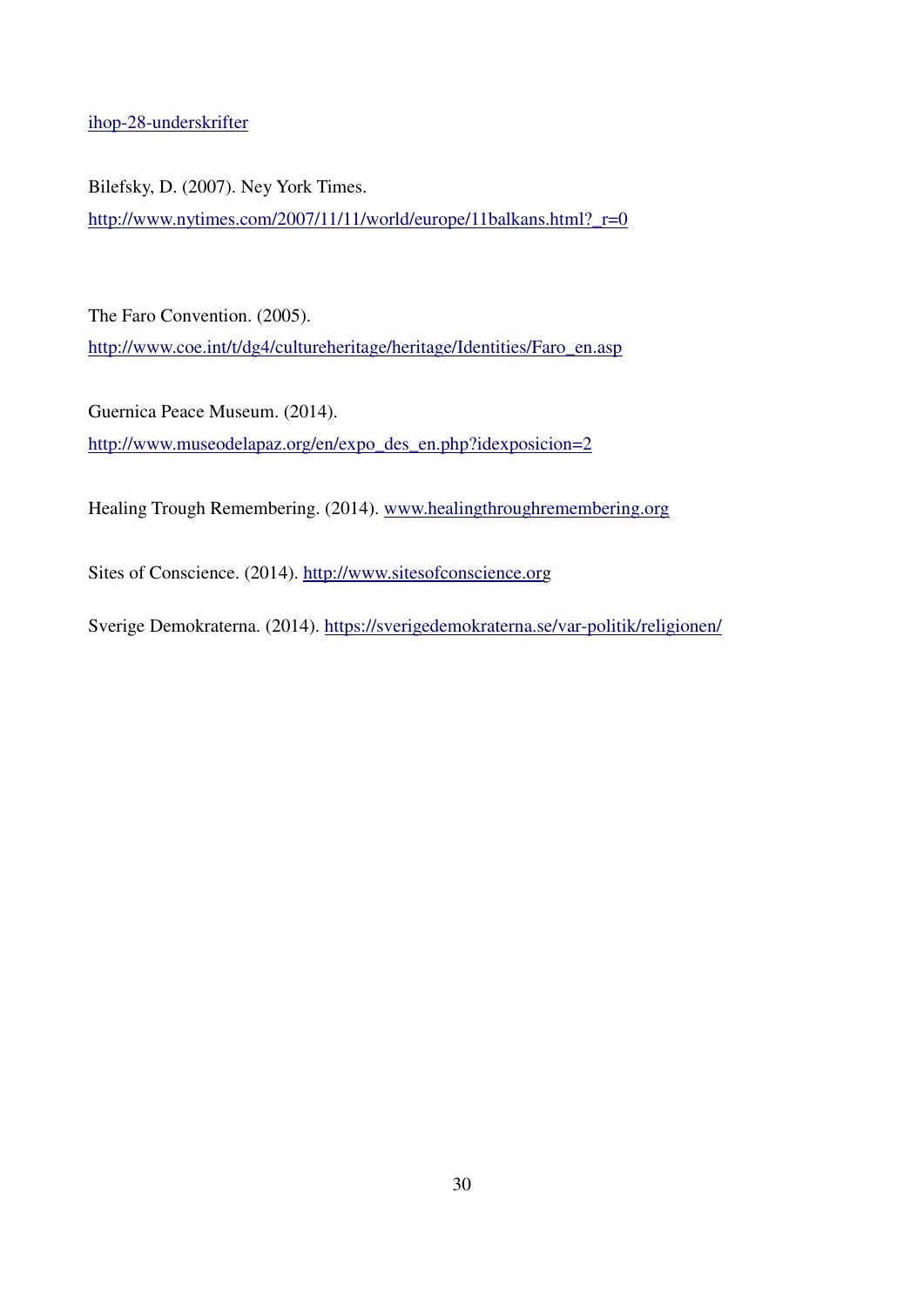[ihop-28-underskrifter](http://nyheter24.se/nyheter/politik/762081-sd-kraftsamlade-mot-moske-fick-ihop-28-underskrifter)

Bilefsky, D. (2007). Ney York Times. [http://www.nytimes.com/2007/11/11/world/europe/11balkans.html?\\_r=0](http://www.nytimes.com/2007/11/11/world/europe/11balkans.html?_r=0)

The Faro Convention. (2005). [http://www.coe.int/t/dg4/cultureheritage/heritage/Identities/Faro\\_en.asp](http://www.coe.int/t/dg4/cultureheritage/heritage/Identities/Faro_en.asp)

Guernica Peace Museum. (2014). [http://www.museodelapaz.org/en/expo\\_des\\_en.php?idexposicion=2](http://www.museodelapaz.org/en/expo_des_en.php?idexposicion=2)

Healing Trough Remembering. (2014). [www.healingthroughremembering.org](http://www.healingthroughremembering.org/)

Sites of Conscience. (2014). [http://www.sitesofconscience.org](http://www.sitesofconscience.org/)

Sverige Demokraterna. (2014).<https://sverigedemokraterna.se/var-politik/religionen/>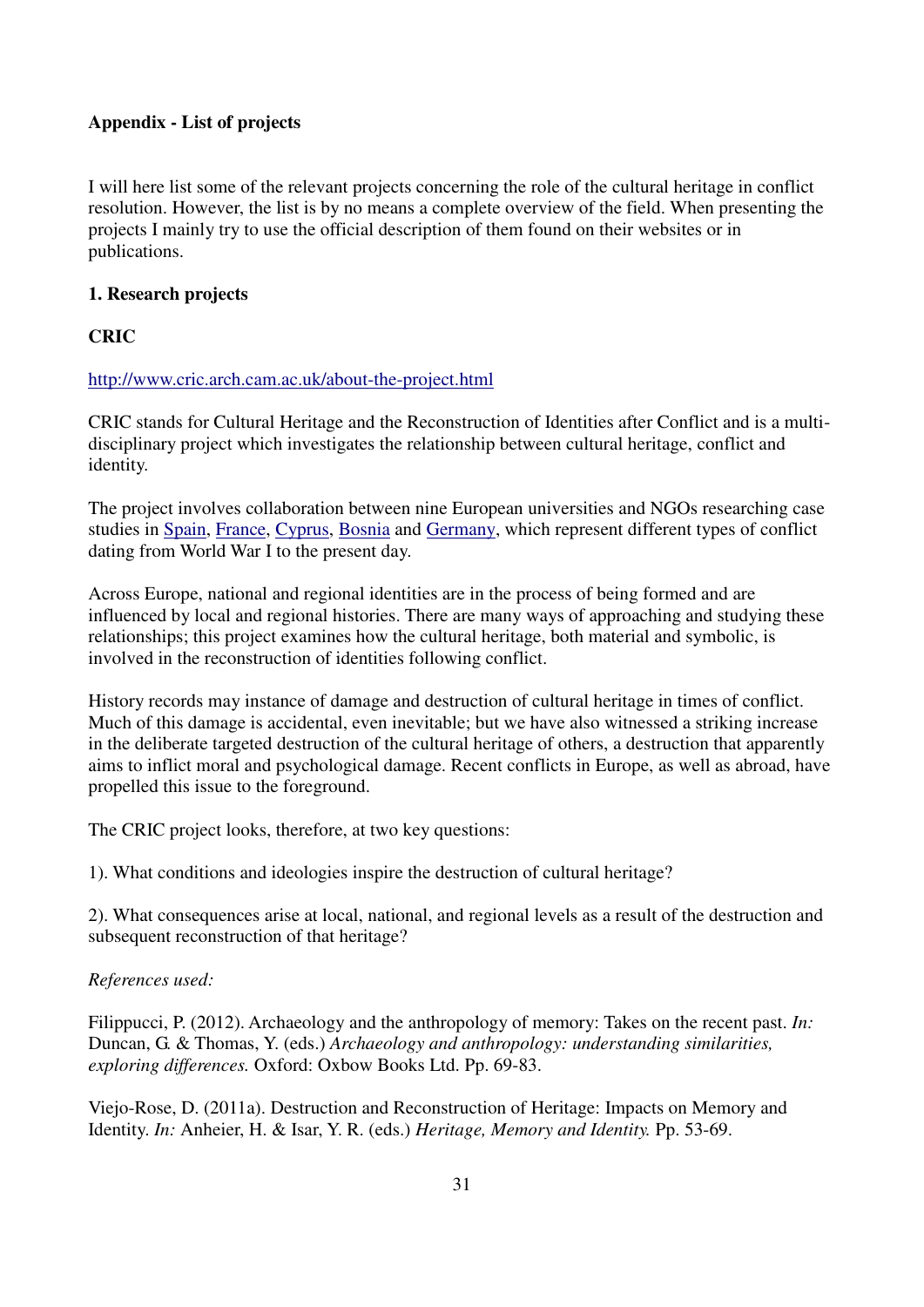## **Appendix - List of projects**

I will here list some of the relevant projects concerning the role of the cultural heritage in conflict resolution. However, the list is by no means a complete overview of the field. When presenting the projects I mainly try to use the official description of them found on their websites or in publications.

## **1. Research projects**

## **CRIC**

## <http://www.cric.arch.cam.ac.uk/about-the-project.html>

CRIC stands for Cultural Heritage and the Reconstruction of Identities after Conflict and is a multidisciplinary project which investigates the relationship between cultural heritage, conflict and identity.

The project involves collaboration between nine European universities and NGOs researching case studies in [Spain,](http://www.cric.arch.cam.ac.uk/case-studies/spain.html) [France,](http://www.cric.arch.cam.ac.uk/case-studies/france.html) [Cyprus,](http://www.cric.arch.cam.ac.uk/case-studies/cyprus-ethnic-tension-and-selective-pasts.html) [Bosnia](http://www.cric.arch.cam.ac.uk/case-studies/bosnia.html) and [Germany,](http://www.cric.arch.cam.ac.uk/case-studies/germany.html) which represent different types of conflict dating from World War I to the present day.

Across Europe, national and regional identities are in the process of being formed and are influenced by local and regional histories. There are many ways of approaching and studying these relationships; this project examines how the cultural heritage, both material and symbolic, is involved in the reconstruction of identities following conflict.

History records may instance of damage and destruction of cultural heritage in times of conflict. Much of this damage is accidental, even inevitable; but we have also witnessed a striking increase in the deliberate targeted destruction of the cultural heritage of others, a destruction that apparently aims to inflict moral and psychological damage. Recent conflicts in Europe, as well as abroad, have propelled this issue to the foreground.

The CRIC project looks, therefore, at two key questions:

1). What conditions and ideologies inspire the destruction of cultural heritage?

2). What consequences arise at local, national, and regional levels as a result of the destruction and subsequent reconstruction of that heritage?

## *References used:*

Filippucci, P. (2012). Archaeology and the anthropology of memory: Takes on the recent past. *In:*  Duncan, G. & Thomas, Y. (eds.) *Archaeology and anthropology: understanding similarities, exploring differences.* Oxford: Oxbow Books Ltd. Pp. 69-83.

Viejo-Rose, D. (2011a). Destruction and Reconstruction of Heritage: Impacts on Memory and Identity. *In:* Anheier, H. & Isar, Y. R. (eds.) *Heritage, Memory and Identity.* Pp. 53-69.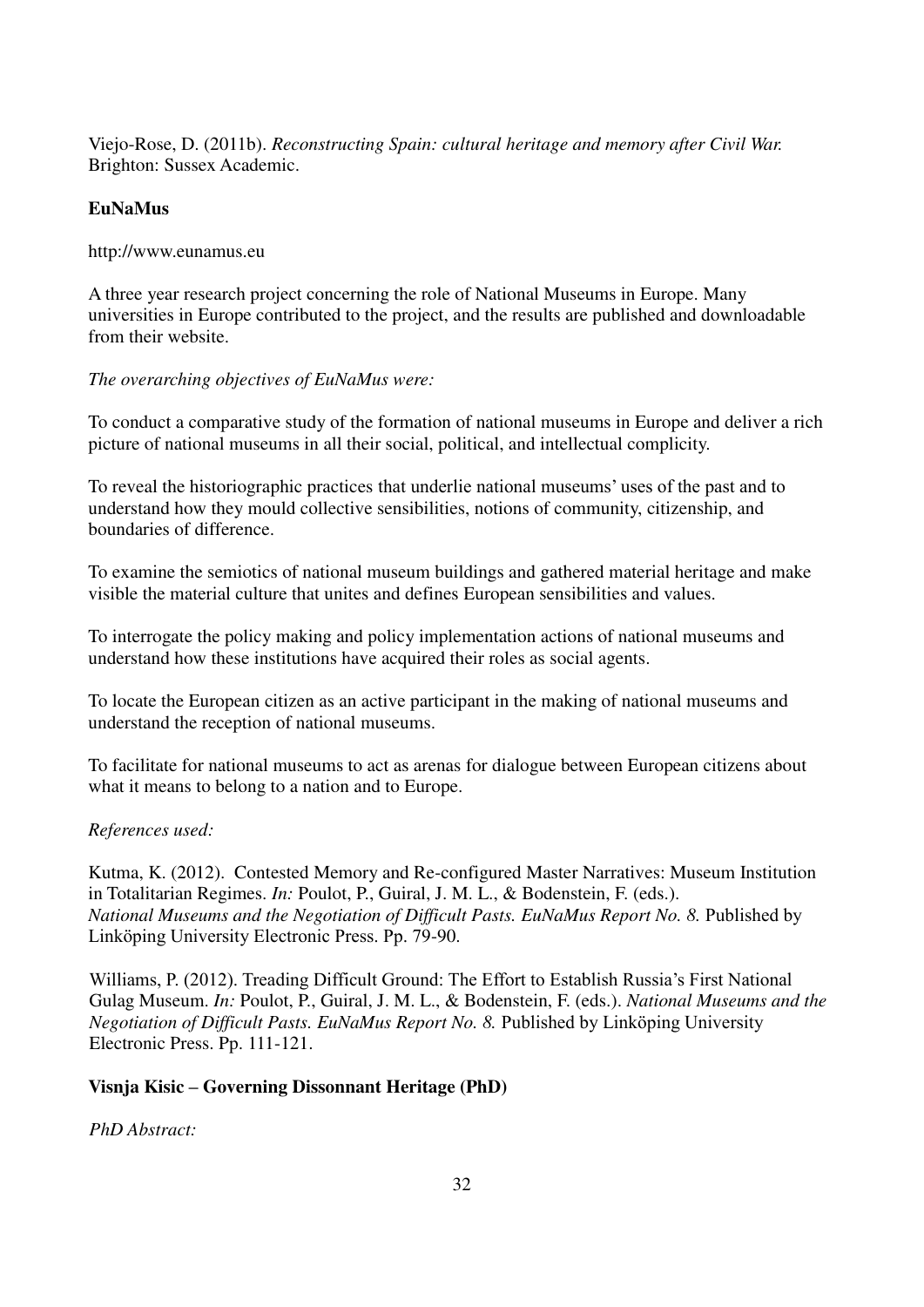Viejo-Rose, D. (2011b). *Reconstructing Spain: cultural heritage and memory after Civil War.* Brighton: Sussex Academic.

## **EuNaMus**

http://www.eunamus.eu

A three year research project concerning the role of National Museums in Europe. Many universities in Europe contributed to the project, and the results are published and downloadable from their website.

## *The overarching objectives of EuNaMus were:*

To conduct a comparative study of the formation of national museums in Europe and deliver a rich picture of national museums in all their social, political, and intellectual complicity.

To reveal the historiographic practices that underlie national museums' uses of the past and to understand how they mould collective sensibilities, notions of community, citizenship, and boundaries of difference.

To examine the semiotics of national museum buildings and gathered material heritage and make visible the material culture that unites and defines European sensibilities and values.

To interrogate the policy making and policy implementation actions of national museums and understand how these institutions have acquired their roles as social agents.

To locate the European citizen as an active participant in the making of national museums and understand the reception of national museums.

To facilitate for national museums to act as arenas for dialogue between European citizens about what it means to belong to a nation and to Europe.

## *References used:*

Kutma, K. (2012). Contested Memory and Re-configured Master Narratives: Museum Institution in Totalitarian Regimes. *In:* Poulot, P., Guiral, J. M. L., & Bodenstein, F. (eds.). *National Museums and the Negotiation of Difficult Pasts. EuNaMus Report No. 8. Published by* Linköping University Electronic Press. Pp. 79-90.

Williams, P. (2012). Treading Difficult Ground: The Effort to Establish Russia's First National Gulag Museum. *In:* Poulot, P., Guiral, J. M. L., & Bodenstein, F. (eds.). *National Museums and the Negotiation of Difficult Pasts. EuNaMus Report No. 8. Published by Linköping University* Electronic Press. Pp. 111-121.

## **Visnja Kisic – Governing Dissonnant Heritage (PhD)**

*PhD Abstract:*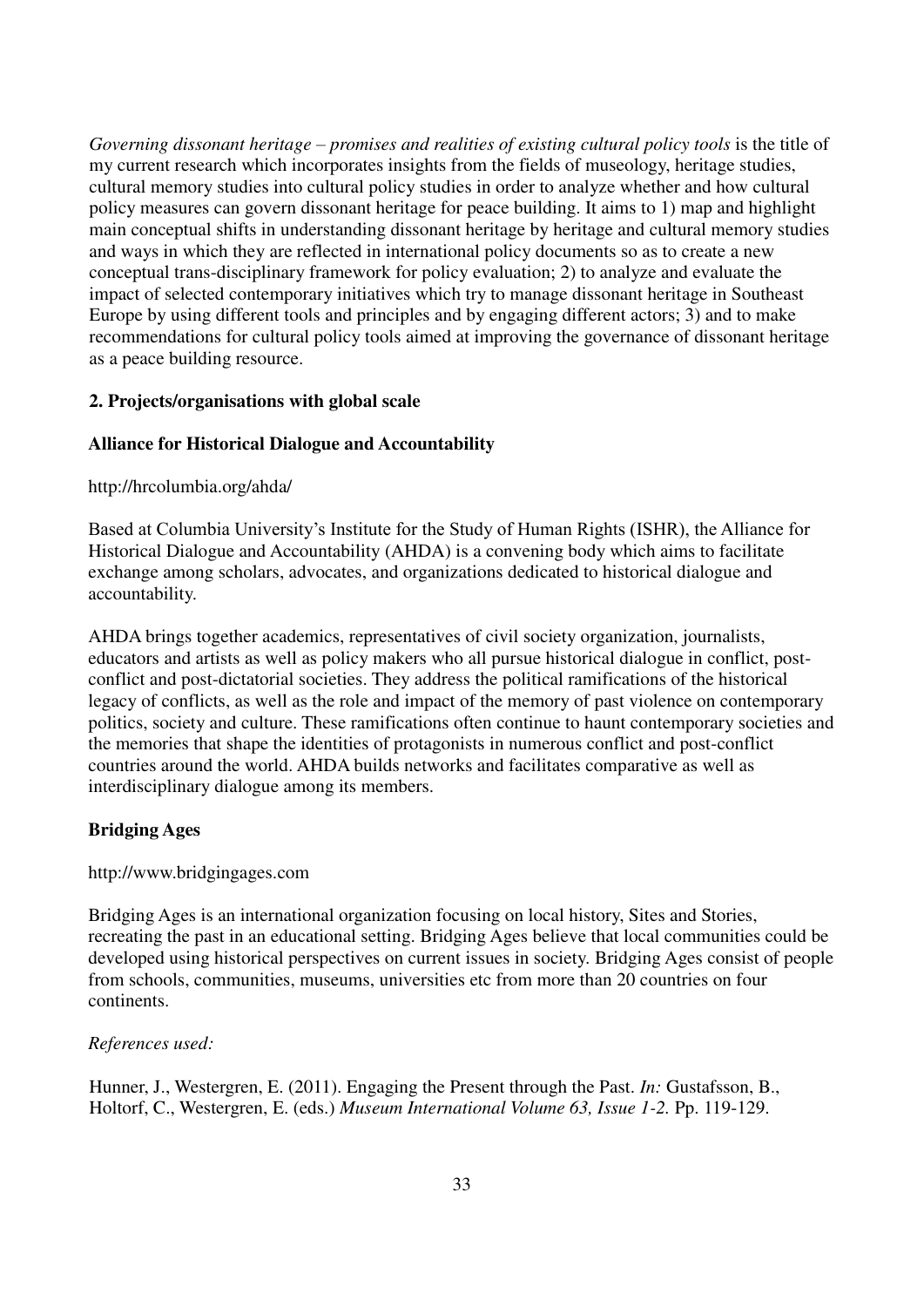*Governing dissonant heritage – promises and realities of existing cultural policy tools* is the title of my current research which incorporates insights from the fields of museology, heritage studies, cultural memory studies into cultural policy studies in order to analyze whether and how cultural policy measures can govern dissonant heritage for peace building. It aims to 1) map and highlight main conceptual shifts in understanding dissonant heritage by heritage and cultural memory studies and ways in which they are reflected in international policy documents so as to create a new conceptual trans-disciplinary framework for policy evaluation; 2) to analyze and evaluate the impact of selected contemporary initiatives which try to manage dissonant heritage in Southeast Europe by using different tools and principles and by engaging different actors; 3) and to make recommendations for cultural policy tools aimed at improving the governance of dissonant heritage as a peace building resource.

## **2. Projects/organisations with global scale**

## **Alliance for Historical Dialogue and Accountability**

#### http://hrcolumbia.org/ahda/

Based at Columbia University's Institute for the Study of Human Rights (ISHR), the Alliance for Historical Dialogue and Accountability (AHDA) is a convening body which aims to facilitate exchange among scholars, advocates, and organizations dedicated to historical dialogue and accountability.

AHDA brings together academics, representatives of civil society organization, journalists, educators and artists as well as policy makers who all pursue historical dialogue in conflict, postconflict and post-dictatorial societies. They address the political ramifications of the historical legacy of conflicts, as well as the role and impact of the memory of past violence on contemporary politics, society and culture. These ramifications often continue to haunt contemporary societies and the memories that shape the identities of protagonists in numerous conflict and post-conflict countries around the world. AHDA builds networks and facilitates comparative as well as interdisciplinary dialogue among its members.

#### **Bridging Ages**

#### http://www.bridgingages.com

Bridging Ages is an international organization focusing on local history, Sites and Stories, recreating the past in an educational setting. Bridging Ages believe that local communities could be developed using historical perspectives on current issues in society. Bridging Ages consist of people from schools, communities, museums, universities etc from more than 20 countries on four continents.

#### *References used:*

Hunner, J., Westergren, E. (2011). Engaging the Present through the Past. *In:* Gustafsson, B., Holtorf, C., Westergren, E. (eds.) *Museum International Volume 63, Issue 1-2.* Pp. 119-129.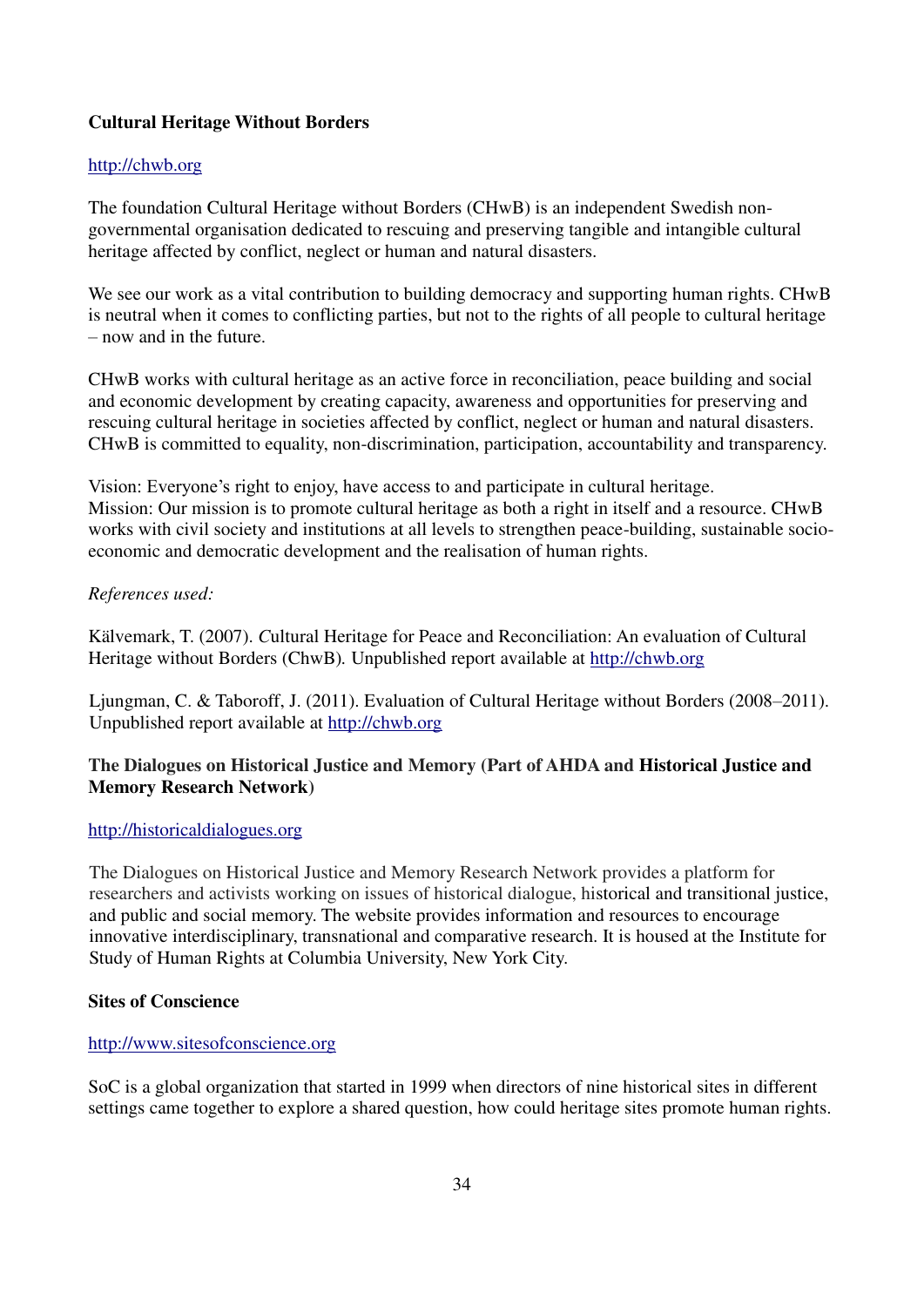## **Cultural Heritage Without Borders**

## [http://chwb.org](http://chwb.org/)

The foundation Cultural Heritage without Borders (CHwB) is an independent Swedish nongovernmental organisation dedicated to rescuing and preserving tangible and intangible cultural heritage affected by conflict, neglect or human and natural disasters.

We see our work as a vital contribution to building democracy and supporting human rights. CHwB is neutral when it comes to conflicting parties, but not to the rights of all people to cultural heritage – now and in the future.

CHwB works with cultural heritage as an active force in reconciliation, peace building and social and economic development by creating capacity, awareness and opportunities for preserving and rescuing cultural heritage in societies affected by conflict, neglect or human and natural disasters. CHwB is committed to equality, non-discrimination, participation, accountability and transparency.

Vision: Everyone's right to enjoy, have access to and participate in cultural heritage. Mission: Our mission is to promote cultural heritage as both a right in itself and a resource. CHwB works with civil society and institutions at all levels to strengthen peace-building, sustainable socioeconomic and democratic development and the realisation of human rights.

## *References used:*

Kälvemark, T. (2007). *C*ultural Heritage for Peace and Reconciliation: An evaluation of Cultural Heritage without Borders (ChwB)*.* Unpublished report available at [http://chwb.org](http://chwb.org/)

Ljungman, C. & Taboroff, J. (2011). Evaluation of Cultural Heritage without Borders (2008–2011). Unpublished report available at [http://chwb.org](http://chwb.org/)

## **The Dialogues on Historical Justice and Memory (Part of AHDA and Historical Justice and Memory Research Network)**

## [http://historicaldialogues.org](http://historicaldialogues.org/)

The Dialogues on Historical Justice and Memory Research Network provides a platform for researchers and activists working on issues of historical dialogue, historical and transitional justice, and public and social memory. The website provides information and resources to encourage innovative interdisciplinary, transnational and comparative research. It is housed at the Institute for Study of Human Rights at Columbia University, New York City.

## **Sites of Conscience**

## [http://www.sitesofconscience.org](http://www.sitesofconscience.org/)

SoC is a global organization that started in 1999 when directors of nine historical sites in different settings came together to explore a shared question, how could heritage sites promote human rights.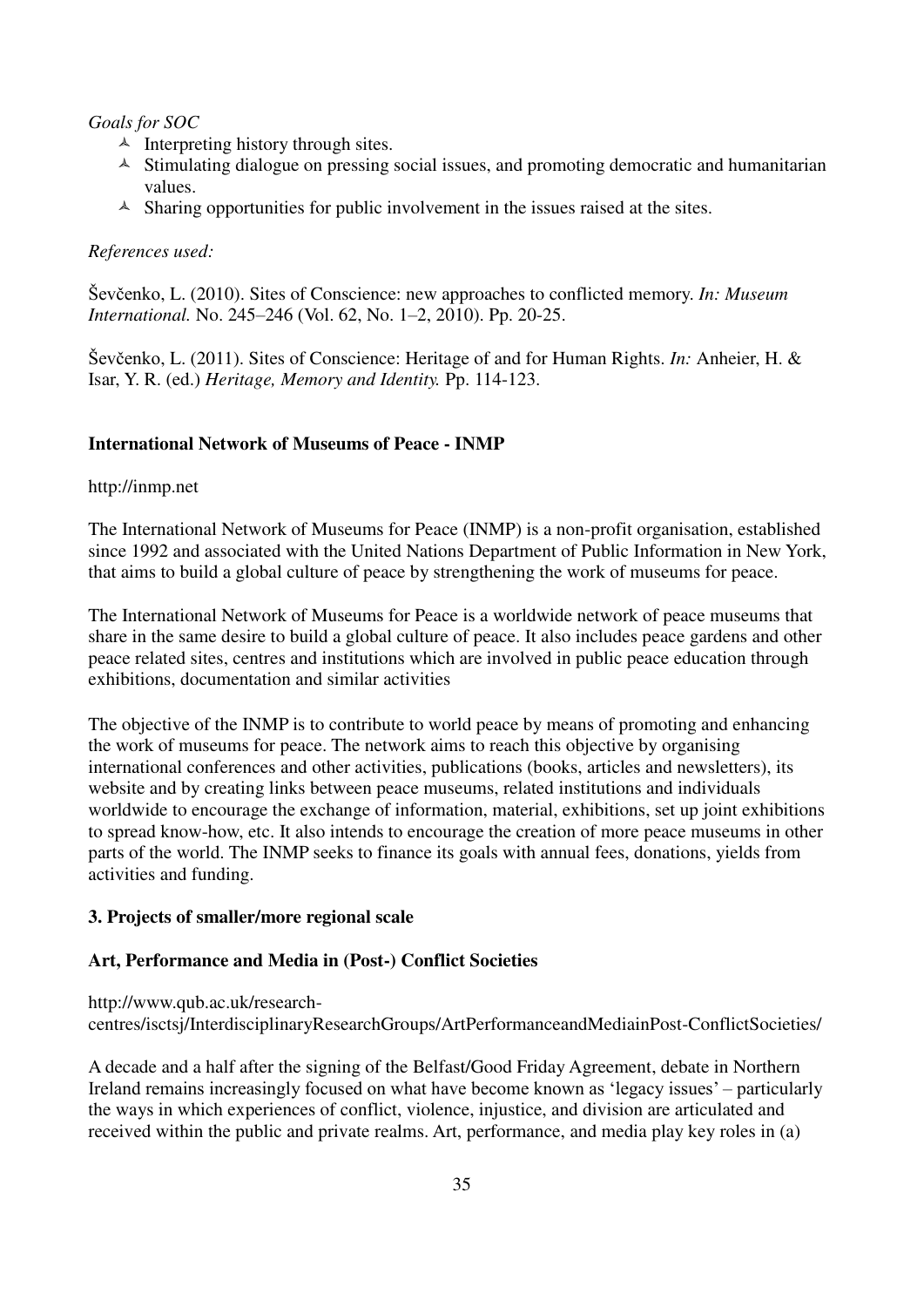## *Goals for SOC*

- $\triangle$  Interpreting history through sites.
- $\triangle$  Stimulating dialogue on pressing social issues, and promoting democratic and humanitarian values.
- $\triangle$  Sharing opportunities for public involvement in the issues raised at the sites.

## *References used:*

̌evčenko, L. (2010). Sites of Conscience: new approaches to conflicted memory. *In: Museum International.* No. 245–246 (Vol. 62, No. 1–2, 2010). Pp. 20-25.

̌evčenko, L. (2011). Sites of Conscience: Heritage of and for Human Rights. *In:* Anheier, H. & Isar, Y. R. (ed.) *Heritage, Memory and Identity.* Pp. 114-123.

## **International Network of Museums of Peace - INMP**

#### http://inmp.net

The International Network of Museums for Peace (INMP) is a non-profit organisation, established since 1992 and associated with the United Nations Department of Public Information in New York, that aims to build a global culture of peace by strengthening the work of museums for peace.

The International Network of Museums for Peace is a worldwide network of peace museums that share in the same desire to build a global culture of peace. It also includes peace gardens and other peace related sites, centres and institutions which are involved in public peace education through exhibitions, documentation and similar activities

The objective of the INMP is to contribute to world peace by means of promoting and enhancing the work of museums for peace. The network aims to reach this objective by organising international conferences and other activities, publications (books, articles and newsletters), its website and by creating links between peace museums, related institutions and individuals worldwide to encourage the exchange of information, material, exhibitions, set up joint exhibitions to spread know-how, etc. It also intends to encourage the creation of more peace museums in other parts of the world. The INMP seeks to finance its goals with annual fees, donations, yields from activities and funding.

#### **3. Projects of smaller/more regional scale**

## **Art, Performance and Media in (Post-) Conflict Societies**

http://www.qub.ac.uk/researchcentres/isctsj/InterdisciplinaryResearchGroups/ArtPerformanceandMediainPost-ConflictSocieties/

A decade and a half after the signing of the Belfast/Good Friday Agreement, debate in Northern Ireland remains increasingly focused on what have become known as 'legacy issues' – particularly the ways in which experiences of conflict, violence, injustice, and division are articulated and received within the public and private realms. Art, performance, and media play key roles in (a)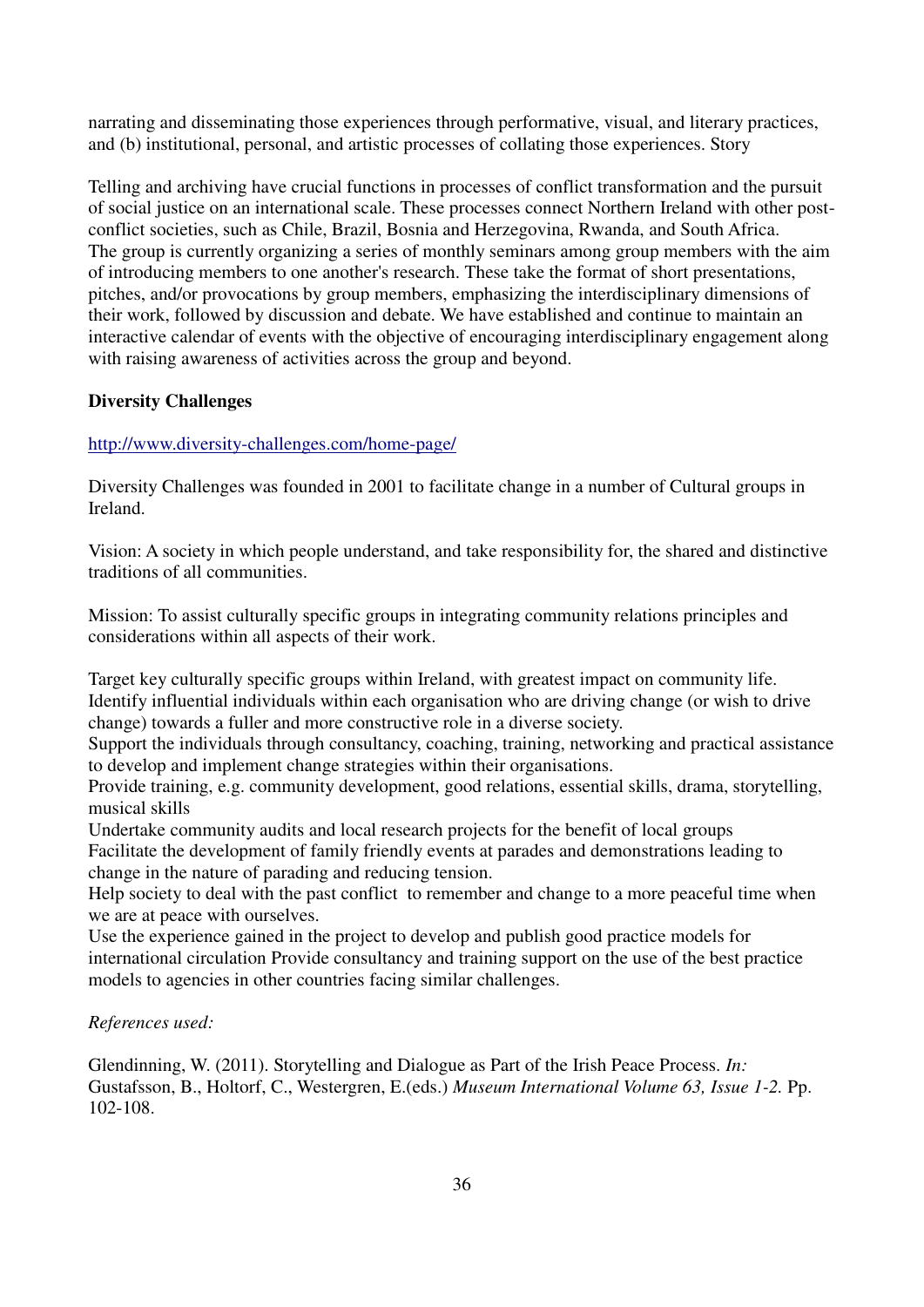narrating and disseminating those experiences through performative, visual, and literary practices, and (b) institutional, personal, and artistic processes of collating those experiences. Story

Telling and archiving have crucial functions in processes of conflict transformation and the pursuit of social justice on an international scale. These processes connect Northern Ireland with other postconflict societies, such as Chile, Brazil, Bosnia and Herzegovina, Rwanda, and South Africa. The group is currently organizing a series of monthly seminars among group members with the aim of introducing members to one another's research. These take the format of short presentations, pitches, and/or provocations by group members, emphasizing the interdisciplinary dimensions of their work, followed by discussion and debate. We have established and continue to maintain an interactive calendar of events with the objective of encouraging interdisciplinary engagement along with raising awareness of activities across the group and beyond.

## **Diversity Challenges**

## <http://www.diversity-challenges.com/home-page/>

Diversity Challenges was founded in 2001 to facilitate change in a number of Cultural groups in Ireland.

Vision: A society in which people understand, and take responsibility for, the shared and distinctive traditions of all communities.

Mission: To assist culturally specific groups in integrating community relations principles and considerations within all aspects of their work.

Target key culturally specific groups within Ireland, with greatest impact on community life. Identify influential individuals within each organisation who are driving change (or wish to drive change) towards a fuller and more constructive role in a diverse society.

Support the individuals through consultancy, coaching, training, networking and practical assistance to develop and implement change strategies within their organisations.

Provide training, e.g. community development, good relations, essential skills, drama, storytelling, musical skills

Undertake community audits and local research projects for the benefit of local groups Facilitate the development of family friendly events at parades and demonstrations leading to change in the nature of parading and reducing tension.

Help society to deal with the past conflict to remember and change to a more peaceful time when we are at peace with ourselves.

Use the experience gained in the project to develop and publish good practice models for international circulation Provide consultancy and training support on the use of the best practice models to agencies in other countries facing similar challenges.

## *References used:*

Glendinning, W. (2011). Storytelling and Dialogue as Part of the Irish Peace Process. *In:*  Gustafsson, B., Holtorf, C., Westergren, E.(eds.) *Museum International Volume 63, Issue 1-2.* Pp. 102-108.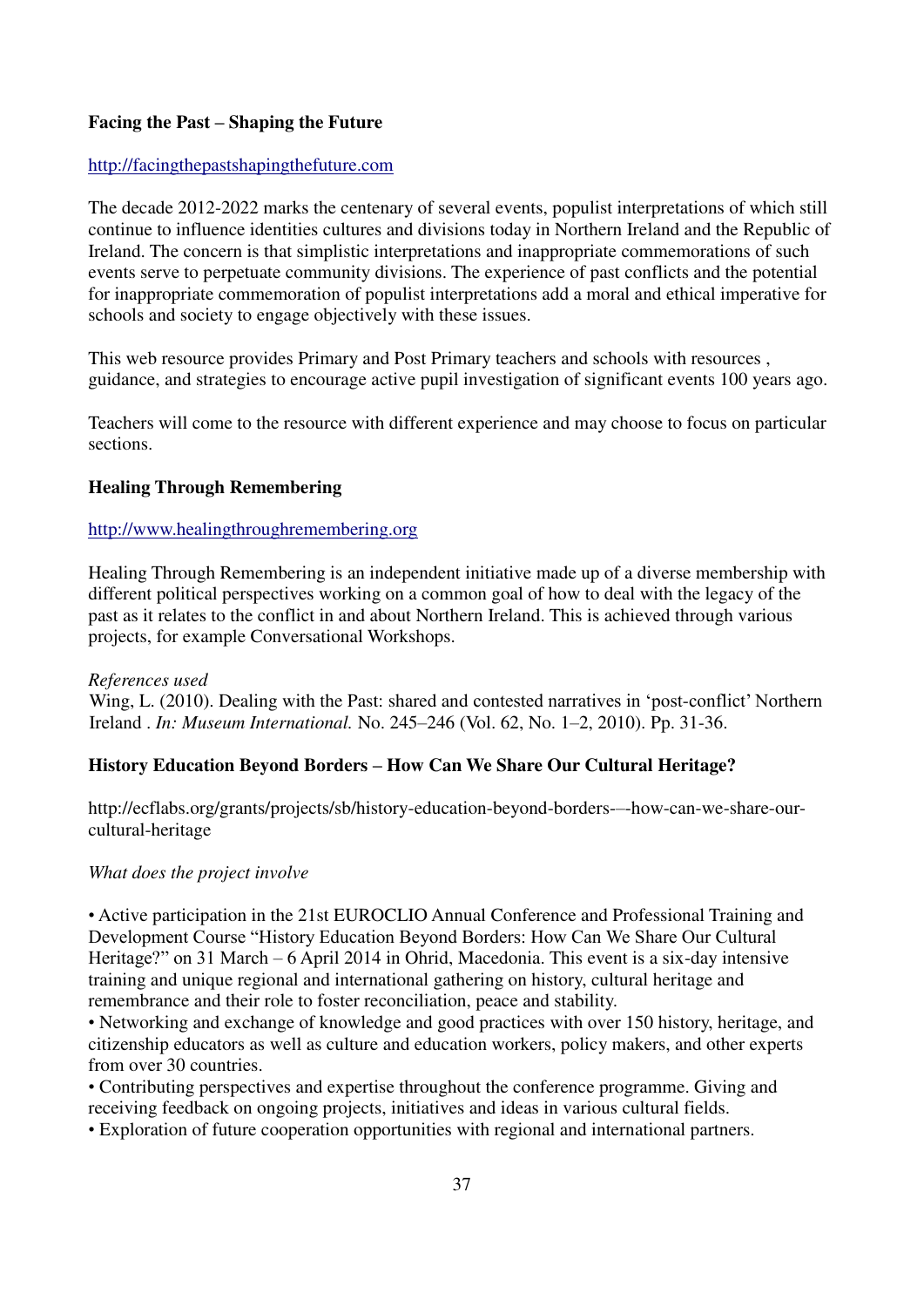## **Facing the Past – Shaping the Future**

## [http://facingthepastshapingthefuture.com](http://facingthepastshapingthefuture.com/)

The decade 2012-2022 marks the centenary of several events, populist interpretations of which still continue to influence identities cultures and divisions today in Northern Ireland and the Republic of Ireland. The concern is that simplistic interpretations and inappropriate commemorations of such events serve to perpetuate community divisions. The experience of past conflicts and the potential for inappropriate commemoration of populist interpretations add a moral and ethical imperative for schools and society to engage objectively with these issues.

This web resource provides Primary and Post Primary teachers and schools with resources , guidance, and strategies to encourage active pupil investigation of significant events 100 years ago.

Teachers will come to the resource with different experience and may choose to focus on particular sections.

## **Healing Through Remembering**

## [http://www.healingthroughremembering.org](http://www.healingthroughremembering.org/)

Healing Through Remembering is an independent initiative made up of a diverse membership with different political perspectives working on a common goal of how to deal with the legacy of the past as it relates to the conflict in and about Northern Ireland. This is achieved through various projects, for example Conversational Workshops.

#### *References used*

Wing, L. (2010). Dealing with the Past: shared and contested narratives in 'post-conflict' Northern Ireland . *In: Museum International.* No. 245–246 (Vol. 62, No. 1–2, 2010). Pp. 31-36.

#### **History Education Beyond Borders – How Can We Share Our Cultural Heritage?**

http://ecflabs.org/grants/projects/sb/history-education-beyond-borders-–-how-can-we-share-ourcultural-heritage

#### *What does the project involve*

• Active participation in the 21st EUROCLIO Annual Conference and Professional Training and Development Course "History Education Beyond Borders: How Can We Share Our Cultural Heritage?" on 31 March – 6 April 2014 in Ohrid, Macedonia. This event is a six-day intensive training and unique regional and international gathering on history, cultural heritage and remembrance and their role to foster reconciliation, peace and stability.

• Networking and exchange of knowledge and good practices with over 150 history, heritage, and citizenship educators as well as culture and education workers, policy makers, and other experts from over 30 countries.

• Contributing perspectives and expertise throughout the conference programme. Giving and receiving feedback on ongoing projects, initiatives and ideas in various cultural fields.

• Exploration of future cooperation opportunities with regional and international partners.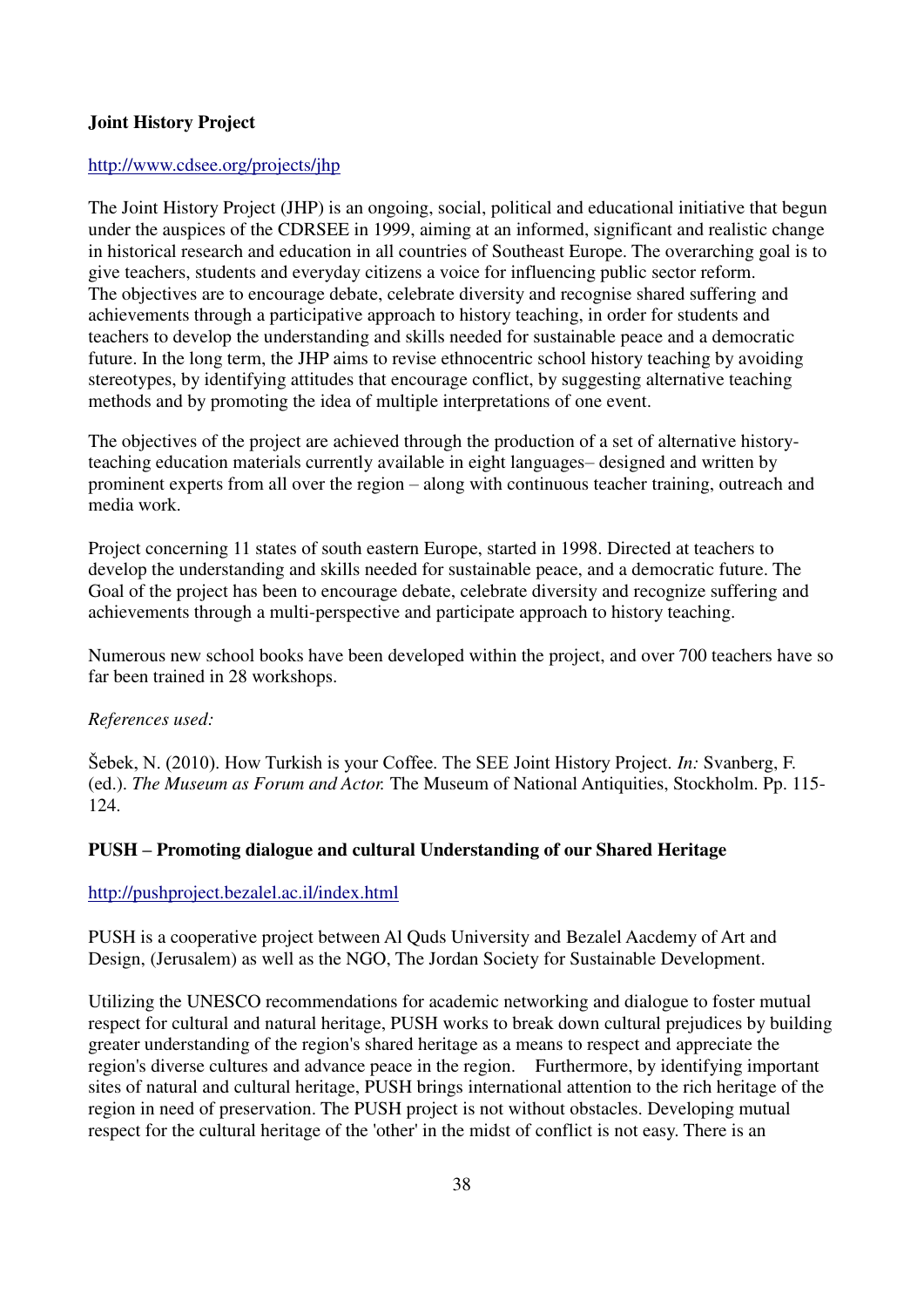## **Joint History Project**

## <http://www.cdsee.org/projects/jhp>

The Joint History Project (JHP) is an ongoing, social, political and educational initiative that begun under the auspices of the CDRSEE in 1999, aiming at an informed, significant and realistic change in historical research and education in all countries of Southeast Europe. The overarching goal is to give teachers, students and everyday citizens a voice for influencing public sector reform. The objectives are to encourage debate, celebrate diversity and recognise shared suffering and achievements through a participative approach to history teaching, in order for students and teachers to develop the understanding and skills needed for sustainable peace and a democratic future. In the long term, the JHP aims to revise ethnocentric school history teaching by avoiding stereotypes, by identifying attitudes that encourage conflict, by suggesting alternative teaching methods and by promoting the idea of multiple interpretations of one event.

The objectives of the project are achieved through the production of a set of alternative historyteaching education materials currently available in eight languages– designed and written by prominent experts from all over the region – along with continuous teacher training, outreach and media work.

Project concerning 11 states of south eastern Europe, started in 1998. Directed at teachers to develop the understanding and skills needed for sustainable peace, and a democratic future. The Goal of the project has been to encourage debate, celebrate diversity and recognize suffering and achievements through a multi-perspective and participate approach to history teaching.

Numerous new school books have been developed within the project, and over 700 teachers have so far been trained in 28 workshops.

## *References used:*

̌ebek, N. (2010). How Turkish is your Coffee. The SEE Joint History Project. *In:* Svanberg, F. (ed.). *The Museum as Forum and Actor.* The Museum of National Antiquities, Stockholm. Pp. 115- 124.

## **PUSH – Promoting dialogue and cultural Understanding of our Shared Heritage**

#### <http://pushproject.bezalel.ac.il/index.html>

PUSH is a cooperative project between Al Quds University and Bezalel Aacdemy of Art and Design, (Jerusalem) as well as the NGO, The Jordan Society for Sustainable Development.

Utilizing the UNESCO recommendations for academic networking and dialogue to foster mutual respect for cultural and natural heritage, PUSH works to break down cultural prejudices by building greater understanding of the region's shared heritage as a means to respect and appreciate the region's diverse cultures and advance peace in the region. Furthermore, by identifying important sites of natural and cultural heritage, PUSH brings international attention to the rich heritage of the region in need of preservation. The PUSH project is not without obstacles. Developing mutual respect for the cultural heritage of the 'other' in the midst of conflict is not easy. There is an